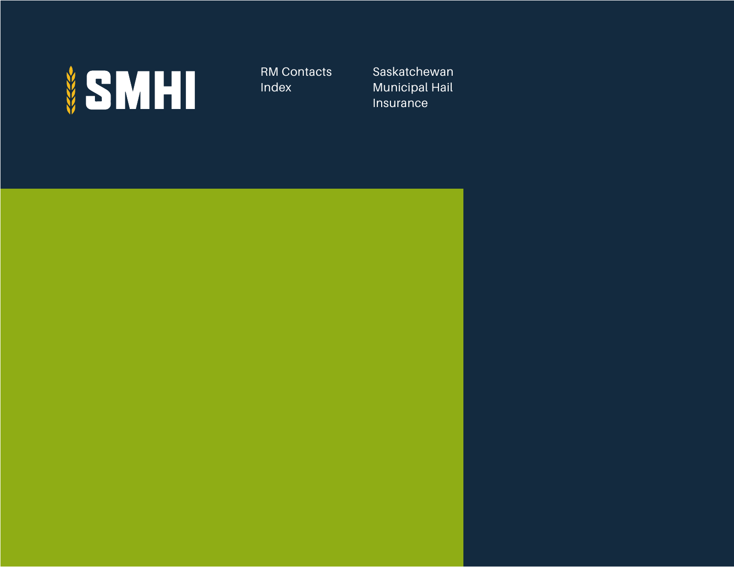

RM Contacts Index

Saskatchewan Municipal Hail Insurance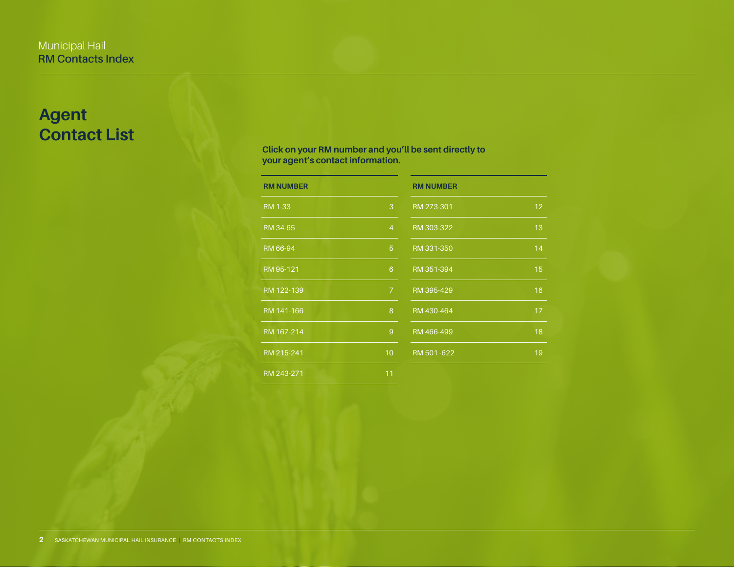# **Agent Contact List**

# **Click on your RM number and you'll be sent directly to your agent's contact information.**

| <b>RM NUMBER</b> |                | <b>RM NUMBER</b> |    |
|------------------|----------------|------------------|----|
| RM 1-33          | 3              | RM 273-301       | 12 |
| RM 34-65         | $\overline{4}$ | RM 303-322       | 13 |
| RM 66-94         | $\overline{5}$ | RM 331-350       | 14 |
| RM 95-121        | 6              | RM 351-394       | 15 |
| RM 122-139       | 7 <sup>1</sup> | RM 395-429       | 16 |
| RM 141-166       | 8              | RM 430-464       | 17 |
| RM 167-214       | 9              | RM 466-499       | 18 |
| RM 215-241       | 10             | RM 501-622       | 19 |
| RM 243-271       | 11             |                  |    |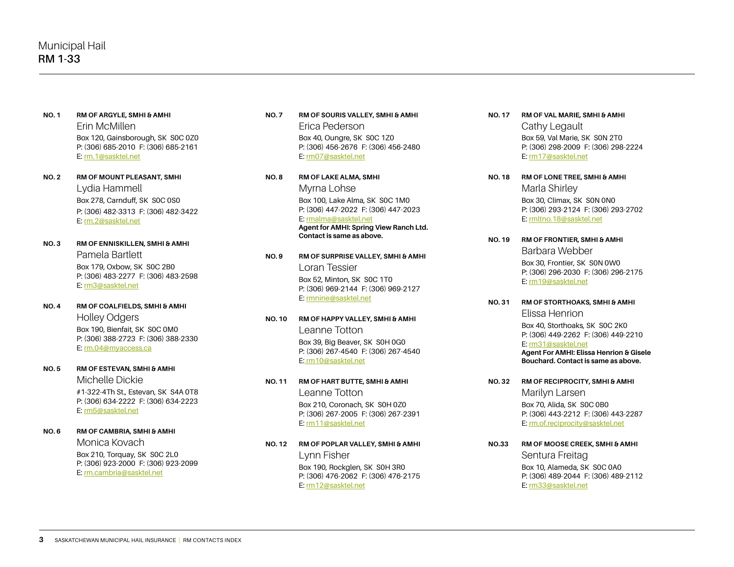- <span id="page-2-0"></span>**NO. 1 RM OF ARGYLE, SMHI & AMHI**  Erin McMillen Box 120, Gainsborough, SK S0C 0Z0 P: (306) 685-2010 F: (306) 685-2161 E: [rm.1@sasktel.net](mailto:rm.1%40sasktel.net?subject=)
- **NO. 2 RM OF MOUNT PLEASANT, SMHI**  Lydia Hammell Box 278, Carnduff, SK S0C 0S0 P: (306) 482-3313 F: (306) 482-3422 E: [rm.2@sasktel.net](mailto:rm.2%40sasktel.net?subject=)
- **NO. 3 RM OF ENNISKILLEN, SMHI & AMHI** Pamela Bartlett Box 179, Oxbow, SK S0C 2B0 P: (306) 483-2277 F: (306) 483-2598 E: [rm3@sasktel.net](mailto:rm3%40sasktel.net?subject=)
- **NO. 4 RM OF COALFIELDS, SMHI & AMHI** Holley Odgers Box 190, Bienfait, SK S0C 0M0 P: (306) 388-2723 F: (306) 388-2330 E: [rm.04@myaccess.ca](mailto:rm.04%40myaccess.ca?subject=)
- **NO. 5 RM OF ESTEVAN, SMHI & AMHI**

Michelle Dickie #1-322-4Th St., Estevan, SK S4A 0T8 P: (306) 634-2222 F: (306) 634-2223 E: [rm5@sasktel.net](mailto:rm5%40sasktel.net?subject=)

**NO. 6 RM OF CAMBRIA, SMHI & AMHI** Monica Kovach Box 210, Torquay, SK S0C 2L0 P: (306) 923-2000 F: (306) 923-2099 E: [rm.cambria@sasktel.net](mailto:rm.cambria%40sasktel.net?subject=)

- **NO. 7 RM OF SOURIS VALLEY, SMHI & AMHI** Erica Pederson Box 40, Oungre, SK S0C 1Z0 P: (306) 456-2676 F: (306) 456-2480 E: [rm07@sasktel.net](mailto:rm07%40sasktel.net?subject=)
- **NO. 8 RM OF LAKE ALMA, SMHI**  Myrna Lohse Box 100, Lake Alma, SK S0C 1M0 P: (306) 447-2022 F: (306) 447-2023 E: [rmalma@sasktel.net](mailto:rmalma%40sasktel.net?subject=) **Agent for AMHI: Spring View Ranch Ltd. Contact is same as above.**
- **NO. 9 RM OF SURPRISE VALLEY, SMHI & AMHI** Loran Tessier

Box 52, Minton, SK S0C 1T0 P: (306) 969-2144 F: (306) 969-2127 E: [rmnine@sasktel.net](mailto:rmnine@sasktel.net)

### **NO. 10 RM OF HAPPY VALLEY, SMHI & AMHI**

Leanne Totton Box 39, Big Beaver, SK S0H 0G0 P: (306) 267-4540 F: (306) 267-4540 E: [rm10@sasktel.net](mailto:rm10%40sasktel.net%20?subject=)

### **NO. 11 RM OF HART BUTTE, SMHI & AMHI**

Leanne Totton Box 210, Coronach, SK S0H 0Z0 P: (306) 267-2005 F: (306) 267-2391 E: [rm11@sasktel.net](mailto:rm11@sasktel.net)

### **NO. 12 RM OF POPLAR VALLEY, SMHI & AMHI**

Lynn Fisher Box 190, Rockglen, SK S0H 3R0 P: (306) 476-2062 F: (306) 476-2175 E: [rm12@sasktel.net](mailto:rm12@sasktel.net)

- **NO. 17 RM OF VAL MARIE, SMHI & AMHI** Cathy Legault Box 59, Val Marie, SK S0N 2T0 P: (306) 298-2009 F: (306) 298-2224 E: [rm17@sasktel.net](mailto:rm17%40sasktel.net%20?subject=)
- **NO. 18 RM OF LONE TREE, SMHI & AMHI**  Marla Shirley Box 30, Climax, SK S0N 0N0 P: (306) 293-2124 F: (306) 293-2702 E: [rmltno.18@sasktel.net](mailto:rmltno.18%40sasktel.net?subject=)
- **NO. 19 RM OF FRONTIER, SMHI & AMHI** Barbara Webber Box 30, Frontier, SK S0N 0W0 P: (306) 296-2030 F: (306) 296-2175 E: [rm19@sasktel.net](mailto:rm19@sasktel.net)
- **NO. 31 RM OF STORTHOAKS, SMHI & AMHI** Elissa Henrion

Box 40, Storthoaks, SK S0C 2K0 P: (306) 449-2262 F: (306) 449-2210 E: [rm31@sasktel.net](mailto:rm31%40sasktel.net?subject=) **Agent For AMHI: Elissa Henrion & Gisele Bouchard. Contact is same as above.**

**NO. 32 RM OF RECIPROCITY, SMHI & AMHI** Marilyn Larsen Box 70, Alida, SK S0C 0B0 P: (306) 443-2212 F: (306) 443-2287 E: [rm.of.reciprocity@sasktel.net](mailto:rm.of.reciprocity%40sasktel.net?subject=)

**NO.33 RM OF MOOSE CREEK, SMHI & AMHI** Sentura Freitag Box 10, Alameda, SK S0C 0A0 P: (306) 489-2044 F: (306) 489-2112 E: [rm33@sasktel.net](mailto:rm33%40sasktel.net?subject=)

**3** SASKATCHEWAN MUNICIPAL HAIL INSURANCE | RM CONTACTS INDEX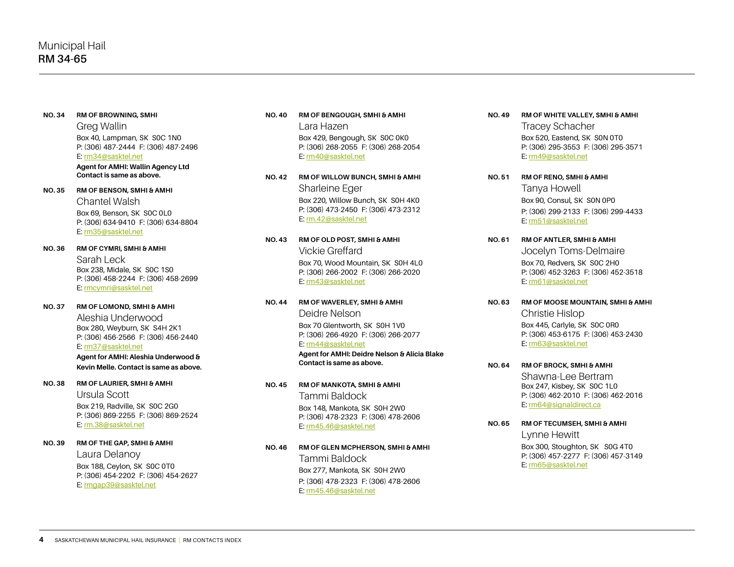#### **NO. 34 RM OF BROWNING, SMHI**

Greg Wallin Box 40, Lampman, SK S0C 1N0 P: (306) 487-2444 F: (306) 487-2496 E: [rm34@sasktel.net](mailto:rm34%40sasktel.net?subject=)

**Agent for AMHI: Wallin Agency Ltd Contact is same as above.**

### **NO. 35 RM OF BENSON, SMHI & AMHI**

Chantel Walsh Box 69, Benson, SK S0C 0L0 P: (306) 634-9410 F: (306) 634-8804 E: [rm35@sasktel.net](mailto:rm35@sasktel.net)

### **NO. 36 RM OF CYMRI, SMHI & AMHI**

Sarah Leck Box 238, Midale, SK S0C 1S0 P: (306) 458-2244 F: (306) 458-2699 E: [rmcymri@sasktel.net](mailto:rmcymri@sasktel.net)

### **NO. 37 RM OF LOMOND, SMHI & AMHI**

Aleshia Underwood Box 280, Weyburn, SK S4H 2K1 P: (306) 456-2566 F: (306) 456-2440 E: [rm37@sasktel.net](mailto:rm37%40sasktel.net?subject=)

**Agent for AMHI: Aleshia Underwood & Kevin Melle. Contact is same as above.**

**NO. 38 RM OF LAURIER, SMHI & AMHI** Ursula Scott Box 219, Radville, SK S0C 2G0 P: (306) 869-2255 F: (306) 869-2524

E: [rm.38@sasktel.net](mailto:rm.38%40sasktel.net?subject=)

**NO. 39 RM OF THE GAP, SMHI & AMHI** Laura Delanoy Box 188, Ceylon, SK S0C 0T0 P: (306) 454-2202 F: (306) 454-2627

E: [rmgap39@sasktel.net](mailto:rmgap39%40sasktel.net?subject=)

# **NO. 40 RM OF BENGOUGH, SMHI & AMHI** Lara Hazen

Box 429, Bengough, SK S0C 0K0 P: (306) 268-2055 F: (306) 268-2054 E: [rm40@sasktel.net](mailto:rm40@sasktel.net)

- **NO. 42 RM OF WILLOW BUNCH, SMHI & AMHI** Sharleine Eger Box 220, Willow Bunch, SK S0H 4K0 P: (306) 473-2450 F: (306) 473-2312 E: [rm.42@sasktel.net](mailto:rm.42@sasktel.net)
- **NO. 43 RM OF OLD POST, SMHI & AMHI**  Vickie Greffard Box 70, Wood Mountain, SK S0H 4L0 P: (306) 266-2002 F: (306) 266-2020 E: [rm43@sasktel.net](mailto:rm43@sasktel.net)
- **NO. 44 RM OF WAVERLEY, SMHI & AMHI** Deidre Nelson

Box 70 Glentworth, SK S0H 1V0 P: (306) 266-4920 F: (306) 266-2077 E: [rm44@sasktel.net](mailto:rm44@sasktel.net)

**Agent for AMHI: Deidre Nelson & Alicia Blake Contact is same as above.**

### **NO. 45 RM OF MANKOTA, SMHI & AMHI**

Tammi Baldock Box 148, Mankota, SK S0H 2W0 P: (306) 478-2323 F: (306) 478-2606 E: [rm45.46@sasktel.net](mailto:rm45.46@sasktel.net)

**NO. 46 RM OF GLEN MCPHERSON, SMHI & AMHI** Tammi Baldock Box 277, Mankota, SK S0H 2W0 P: (306) 478-2323 F: (306) 478-2606 E: [rm45.46@sasktel.net](mailto:rm45.46@sasktel.net)

- **NO. 49 RM OF WHITE VALLEY, SMHI & AMHI** Tracey Schacher Box 520, Eastend, SK S0N 0T0 P: (306) 295-3553 F: (306) 295-3571 E: [rm49@sasktel.net](mailto:rm49@sasktel.net)
- **NO. 51 RM OF RENO, SMHI & AMHI** Tanya Howell Box 90, Consul, SK S0N 0P0 P: (306) 299-2133 F: (306) 299-4433 E: [rm51@sasktel.net](mailto:rm51%40sasktel.net?subject=)
- **NO. 61 RM OF ANTLER, SMHI & AMHI**  Jocelyn Toms-Delmaire Box 70, Redvers, SK S0C 2H0 P: (306) 452-3263 F: (306) 452-3518 E: [rm61@sasktel.net](mailto:rm61%40sasktel.net?subject=)
- **NO. 63 RM OF MOOSE MOUNTAIN, SMHI & AMHI**  Christie Hislop Box 445, Carlyle, SK S0C 0R0 P: (306) 453-6175 F: (306) 453-2430 E: [rm63@sasktel.net](mailto:rm63%40sasktel.net?subject=)
- **NO. 64 RM OF BROCK, SMHI & AMHI** Shawna-Lee Bertram Box 247, Kisbey, SK S0C 1L0 P: (306) 462-2010 F: (306) 462-2016 E: [rm64@signaldirect.ca](mailto:rm64%40signaldirect.ca?subject=)
- **NO. 65 RM OF TECUMSEH, SMHI & AMHI** Lynne Hewitt Box 300, Stoughton, SK S0G 4T0 P: (306) 457-2277 F: (306) 457-3149 E: [rm65@sasktel.net](mailto:rm65%40sasktel.net?subject=)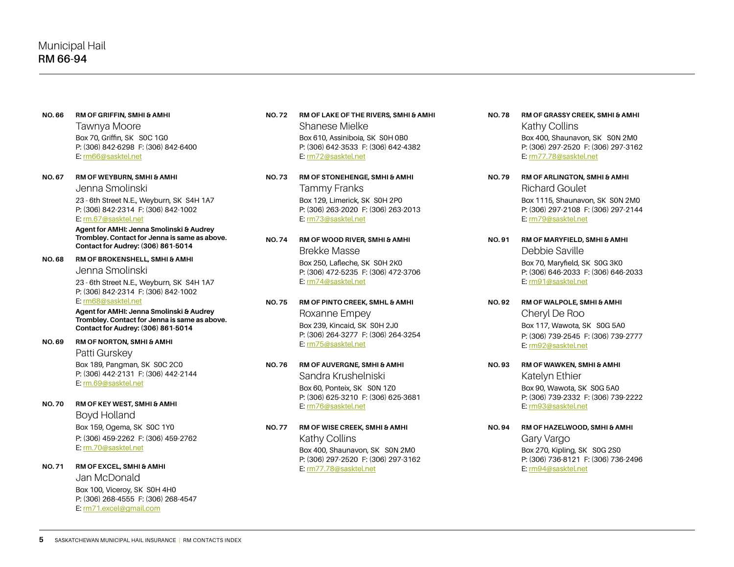**NO. 66 RM OF GRIFFIN, SMHI & AMHI**

Tawnya Moore Box 70, Griffin, SK S0C 1G0 P: (306) 842-6298 F: (306) 842-6400 E: [rm66@sasktel.net](mailto:rm66%40sasktel.net?subject=)

**NO. 67 RM OF WEYBURN, SMHI & AMHI**

Jenna Smolinski

23 - 6th Street N.E., Weyburn, SK S4H 1A7 P: (306) 842-2314 F: (306) 842-1002 E: [rm.67@sasktel.net](mailto:rm.67%40sasktel.net?subject=)

**Agent for AMHI: Jenna Smolinski & Audrey Trombley. Contact for Jenna is same as above. Contact for Audrey: (306) 861-5014**

**NO. 68 RM OF BROKENSHELL, SMHI & AMHI**

Jenna Smolinski

23 - 6th Street N.E., Weyburn, SK S4H 1A7 P: (306) 842-2314 F: (306) 842-1002

E: rm68@sasktel.net

**Agent for AMHI: Jenna Smolinski & Audrey Trombley. Contact for Jenna is same as above. Contact for Audrey: (306) 861-5014**

**NO. 69 RM OF NORTON, SMHI & AMHI**

Patti Gurskey Box 189, Pangman, SK S0C 2C0 P: (306) 442-2131 F: (306) 442-2144 E: [rm.69@sasktel.net](mailto:rm.69%40sasktel.net?subject=)

**NO. 70 RM OF KEY WEST, SMHI & AMHI** Boyd Holland Box 159, Ogema, SK S0C 1Y0

P: (306) 459-2262 F: (306) 459-2762 E: [rm.70@sasktel.net](mailto:rm.70%40sasktel.net%20?subject=)

### **NO. 71 RM OF EXCEL, SMHI & AMHI**

Jan McDonald Box 100, Viceroy, SK S0H 4H0 P: (306) 268-4555 F: (306) 268-4547 E: [rm71.excel@gmail.com](mailto:rm71.excel%40gmail.com?subject=)

- **NO. 72 RM OF LAKE OF THE RIVERS, SMHI & AMHI** Shanese Mielke Box 610, Assiniboia, SK S0H 0B0 P: (306) 642-3533 F: (306) 642-4382 E: [rm72@sasktel.net](mailto:rm72%40sasktel.net?subject=)
- **NO. 73 RM OF STONEHENGE, SMHI & AMHI** Tammy Franks Box 129, Limerick, SK S0H 2P0 P: (306) 263-2020 F: (306) 263-2013 E: [rm73@sasktel.net](mailto:rm73%40sasktel.net?subject=)
- **NO. 74 RM OF WOOD RIVER, SMHI & AMHI** Brekke Masse Box 250, Lafleche, SK S0H 2K0 P: (306) 472-5235 F: (306) 472-3706 E: [rm74@sasktel.net](mailto:rm74%40sasktel.net?subject=)
- **NO. 75 RM OF PINTO CREEK, SMHL & AMHI** Roxanne Empey Box 239, Kincaid, SK S0H 2J0 P: (306) 264-3277 F: (306) 264-3254 E: [rm75@sasktel.net](mailto:rm75%40sasktel.net?subject=)
- **NO. 76 RM OF AUVERGNE, SMHI & AMHI** Sandra Krushelniski Box 60, Ponteix, SK S0N 1Z0 P: (306) 625-3210 F: (306) 625-3681 E: [rm76@sasktel.net](mailto:rm76%40sasktel.net?subject=)
- **NO. 77 RM OF WISE CREEK, SMHI & AMHI** Kathy Collins Box 400, Shaunavon, SK S0N 2M0 P: (306) 297-2520 F: (306) 297-3162 E: rm77.78@sasktel.net
- **NO. 78 RM OF GRASSY CREEK, SMHI & AMHI** Kathy Collins Box 400, Shaunavon, SK S0N 2M0 P: (306) 297-2520 F: (306) 297-3162 E: [rm77.78@sasktel.net](mailto:rm77.78%40sasktel.net?subject=)
- **NO. 79 RM OF ARLINGTON, SMHI & AMHI** Richard Goulet Box 1115, Shaunavon, SK S0N 2M0 P: (306) 297-2108 F: (306) 297-2144 E: [rm79@sasktel.net](mailto:rm79@sasktel.net)
- **NO. 91 RM OF MARYFIELD, SMHI & AMHI**  Debbie Saville Box 70, Maryfield, SK S0G 3K0 P: (306) 646-2033 F: (306) 646-2033 E: [rm91@sasktel.net](mailto:rm91%40sasktel.net?subject=)
- **NO. 92 RM OF WALPOLE, SMHI & AMHI** Cheryl De Roo Box 117, Wawota, SK S0G 5A0 P: (306) 739-2545 F: (306) 739-2777 E: [rm92@sasktel.net](mailto:rm92%40sasktel.net?subject=)
- **NO. 93 RM OF WAWKEN, SMHI & AMHI** Katelyn Ethier Box 90, Wawota, SK S0G 5A0 P: (306) 739-2332 F: (306) 739-2222 E: [rm93@sasktel.net](mailto:rm93%40sasktel.net?subject=)

### **NO. 94 RM OF HAZELWOOD, SMHI & AMHI**

Gary Vargo Box 270, Kipling, SK S0G 2S0 P: (306) 736-8121 F: (306) 736-2496 E: [rm94@sasktel.net](mailto:rm94%40sasktel.net?subject=)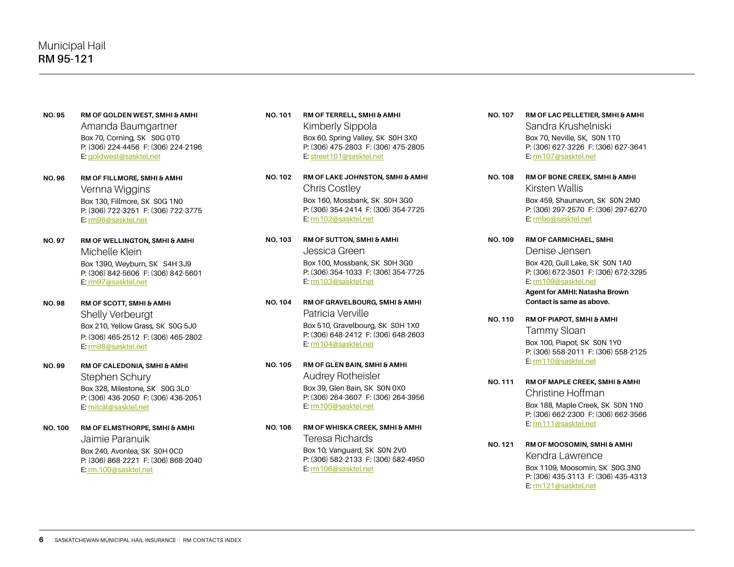- **NO. 95 RM OF GOLDEN WEST, SMHI & AMHI** Amanda Baumgartner Box 70, Corning, SK S0G 0T0 P: (306) 224-4456 F: (306) 224-2196 E: [goldwest@sasktel.net](mailto:goldwest@sasktel.net)
- **NO. 96 RM OF FILLMORE, SMHI & AMHI** Vernna Wiggins Box 130, Fillmore, SK S0G 1N0 P: (306) 722-3251 F: (306) 722-3775 E: [rm96@sasktel.net](mailto:rm96%40sasktel.net?subject=)
- **NO. 97 RM OF WELLINGTON, SMHI & AMHI**  Michelle Klein Box 1390, Weyburn, SK S4H 3J9 P: (306) 842-5606 F: (306) 842-5601 E[: rm97@sasktel.net](mailto:rm97%40sasktel.net?subject=)
- **NO. 98 RM OF SCOTT, SMHI & AMHI** Shelly Verbeurgt Box 210, Yellow Grass, SK S0G 5J0 P: (306) 465-2512 F: (306) 465-2802 E: [rm98@sasktel.net](mailto:rm98%40sasktel.net?subject=)
- **NO. 99 RM OF CALEDONIA, SMHI & AMHI** Stephen Schury Box 328, Milestone, SK S0G 3L0 P: (306) 436-2050 F: (306) 436-2051 E: [milcal@sasktel.net](mailto:milcal%40sasktel.net?subject=)
- **NO. 100 RM OF ELMSTHORPE, SMHI & AMHI** Jaimie Paranuik Box 240, Avonlea, SK S0H 0C0 P: (306) 868-2221 F: (306) 868-2040 E[: rm.100@sasktel.net](mailto:rm.100%40sasktel.net?subject=)
- **NO. 101 RM OF TERRELL, SMHI & AMHI** Kimberly Sippola Box 60, Spring Valley, SK S0H 3X0 P: (306) 475-2803 F: (306) 475-2805 E: [street101@sasktel.net](mailto:street101%40sasktel.net?subject=)
- **NO. 102 RM OF LAKE JOHNSTON, SMHI & AMHI**  Chris Costley Box 160, Mossbank, SK S0H 3G0 P: (306) 354-2414 F: (306) 354-7725 E: [rm102@sasktel.net](mailto:rm102%40sasktel.net?subject=)
- **NO. 103 RM OF SUTTON, SMHI & AMHI** Jessica Green Box 100, Mossbank, SK S0H 3G0 P: (306) 354-1033 F: (306) 354-7725 E: [rm103@sasktel.net](mailto:rm103%40sasktel.net?subject=)
- **NO. 104 RM OF GRAVELBOURG, SMHI & AMHI** Patricia Verville Box 510, Gravelbourg, SK S0H 1X0 P: (306) 648-2412 F: (306) 648-2603 E: [rm104@sasktel.net](mailto:rm104%40sasktel.net%20?subject=)
- **NO. 105 RM OF GLEN BAIN, SMHI & AMHI** Audrey Rotheisler Box 39, Glen Bain, SK S0N 0X0 P: (306) 264-3607 F: (306) 264-3956 E: [rm105@sasktel.net](mailto:rm105%40sasktel.net?subject=)
- **NO. 106 RM OF WHISKA CREEK, SMHI & AMHI** Teresa Richards Box 10, Vanguard, SK S0N 2V0 P: (306) 582-2133 F: (306) 582-4950 E: [rm106@sasktel.net](mailto:rm106%40sasktel.net?subject=)
- **NO. 107 RM OF LAC PELLETIER, SMHI & AMHI** Sandra Krushelniski Box 70, Neville, SK, S0N 1T0 P: (306) 627-3226 F: (306) 627-3641 E: [rm107@sasktel.net](mailto:rm107%40sasktel.net?subject=)
- **NO. 108 RM OF BONE CREEK, SMHI & AMHI** Kirsten Wallis Box 459, Shaunavon, SK S0N 2M0 P: (306) 297-2570 F: (306) 297-6270 E: [rmbc@sasktel.net](mailto:rmbc%40sasktel.net?subject=)
- **NO. 109 RM OF CARMICHAEL, SMHI**  Denise Jensen Box 420, Gull Lake, SK S0N 1A0 P: (306) 672-3501 F: (306) 672-3295 E: [rm109@sasktel.net](mailto:rm109%40sasktel.net?subject=) **Agent for AMHI: Natasha Brown**

**Contact is same as above.**

- **NO. 110 RM OF PIAPOT, SMHI & AMHI** Tammy Sloan Box 100, Piapot, SK S0N 1Y0 P: (306) 558-2011 F: (306) 558-2125 E: [rm110@sasktel.net](mailto:rm110@sasktel.net)
- **NO. 111 RM OF MAPLE CREEK, SMHI & AMHI** Christine Hoffman Box 188, Maple Creek, SK S0N 1N0 P: (306) 662-2300 F: (306) 662-3566 E: [rm111@sasktel.net](mailto:rm111@sasktel.net)
- **NO. 121 RM OF MOOSOMIN, SMHI & AMHI** Kendra Lawrence Box 1109, Moosomin, SK S0G 3N0 P: (306) 435-3113 F: (306) 435-4313 E: [rm121@sasktel.net](mailto:rm121@sasktel.net)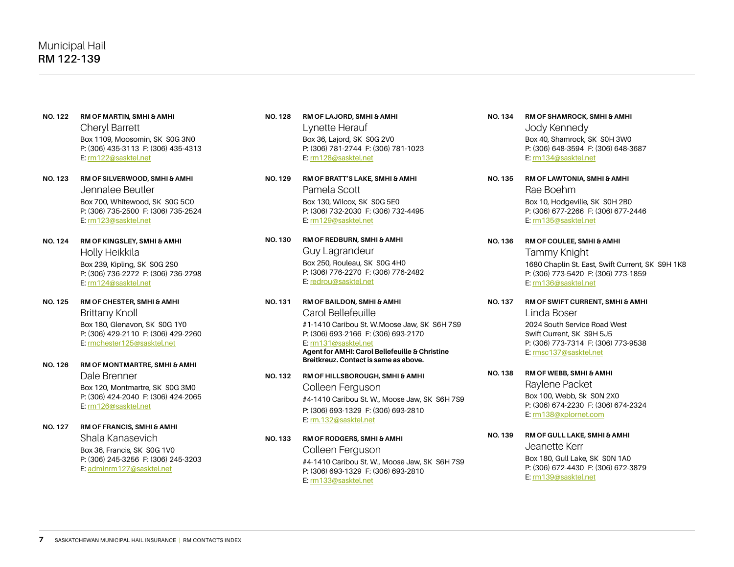- **NO. 122 RM OF MARTIN, SMHI & AMHI** Cheryl Barrett Box 1109, Moosomin, SK S0G 3N0 P: (306) 435-3113 F: (306) 435-4313 E: [rm122@sasktel.net](mailto:rm122@sasktel.net)
- **NO. 123 RM OF SILVERWOOD, SMHI & AMHI** Jennalee Beutler Box 700, Whitewood, SK S0G 5C0 P: (306) 735-2500 F: (306) 735-2524 E: [rm123@sasktel.net](mailto:rm123@sasktel.net)
- **NO. 124 RM OF KINGSLEY, SMHI & AMHI** Holly Heikkila Box 239, Kipling, SK S0G 2S0 P: (306) 736-2272 F: (306) 736-2798 E: [rm124@sasktel.net](mailto:rm124@sasktel.net )
- **NO. 125 RM OF CHESTER, SMHI & AMHI**  Brittany Knoll Box 180, Glenavon, SK S0G 1Y0 P: (306) 429-2110 F: (306) 429-2260 E: [rmchester125@sasktel.net](mailto:rmchester125%40sasktel.net?subject=)
- **NO. 126 RM OF MONTMARTRE, SMHI & AMHI** Dale Brenner Box 120, Montmartre, SK S0G 3M0 P: (306) 424-2040 F: (306) 424-2065 E: [rm126@sasktel.net](mailto:rm126@sasktel.net)
- **NO. 127 RM OF FRANCIS, SMHI & AMHI** Shala Kanasevich Box 36, Francis, SK S0G 1V0 P: (306) 245-3256 F: (306) 245-3203 E: adminrm127@sasktel.net
- **NO. 128 RM OF LAJORD, SMHI & AMHI** Lynette Herauf Box 36, Lajord, SK S0G 2V0 P: (306) 781-2744 F: (306) 781-1023 E: [rm128@sasktel.net](mailto:rm128@sasktel.net)
- **NO. 129 RM OF BRATT'S LAKE, SMHI & AMHI** Pamela Scott Box 130, Wilcox, SK S0G 5E0 P: (306) 732-2030 F: (306) 732-4495 E: [rm129@sasktel.net](mailto:rm129@sasktel.net)
- **NO. 130 RM OF REDBURN, SMHI & AMHI** Guy Lagrandeur Box 250, Rouleau, SK S0G 4H0 P: (306) 776-2270 F: (306) 776-2482 E: [redrou@sasktel.net](mailto:redrou@sasktel.net)
- **NO. 131 RM OF BAILDON, SMHI & AMHI** Carol Bellefeuille #1-1410 Caribou St. W.Moose Jaw, SK S6H 7S9 P: (306) 693-2166 F: (306) 693-2170 E: [rm131@sasktel.net](mailto:rm131@sasktel.net) **Agent for AMHI: Carol Bellefeuille & Christine Breitkreuz. Contact is same as above.**
- **NO. 132 RM OF HILLSBOROUGH, SMHI & AMHI**  Colleen Ferguson #4-1410 Caribou St. W., Moose Jaw, SK S6H 7S9 P: (306) 693-1329 F: (306) 693-2810 E: [rm.132@sasktel.net](mailto:rm.132@sasktel.net)
- **NO. 133 RM OF RODGERS, SMHI & AMHI**  Colleen Ferguson #4-1410 Caribou St. W., Moose Jaw, SK S6H 7S9 P: (306) 693-1329 F: (306) 693-2810 E: [rm133@sasktel.net](mailto:rm133@sasktel.net)
- **NO. 134 RM OF SHAMROCK, SMHI & AMHI** Jody Kennedy Box 40, Shamrock, SK S0H 3W0 P: (306) 648-3594 F: (306) 648-3687 E: [rm134@sasktel.net](mailto:rm134@sasktel.net)
- **NO. 135 RM OF LAWTONIA, SMHI & AMHI** Rae Boehm Box 10, Hodgeville, SK S0H 2B0 P: (306) 677-2266 F: (306) 677-2446 E: [rm135@sasktel.net](mailto:rm135@sasktel.net)
- **NO. 136 RM OF COULEE, SMHI & AMHI** Tammy Knight 1680 Chaplin St. East, Swift Current, SK S9H 1K8 P: (306) 773-5420 F: (306) 773-1859 E: [rm136@sasktel.net](mailto:rm136%40sasktel.net?subject=)
- **NO. 137 RM OF SWIFT CURRENT, SMHI & AMHI** Linda Boser 2024 South Service Road West Swift Current, SK S9H 5J5 P: (306) 773-7314 F: (306) 773-9538 E: [rmsc137@sasktel.net](mailto:rmsc137%40sasktel.net?subject=)
- **NO. 138 RM OF WEBB, SMHI & AMHI** Raylene Packet Box 100, Webb, Sk S0N 2X0 P: (306) 674-2230 F: (306) 674-2324 E: [rm138@xplornet.com](mailto:rm138@xplornet.com)
- **NO. 139 RM OF GULL LAKE, SMHI & AMHI** Jeanette Kerr Box 180, Gull Lake, SK S0N 1A0 P: (306) 672-4430 F: (306) 672-3879 E: [rm139@sasktel.net](mailto:rm139@sasktel.net)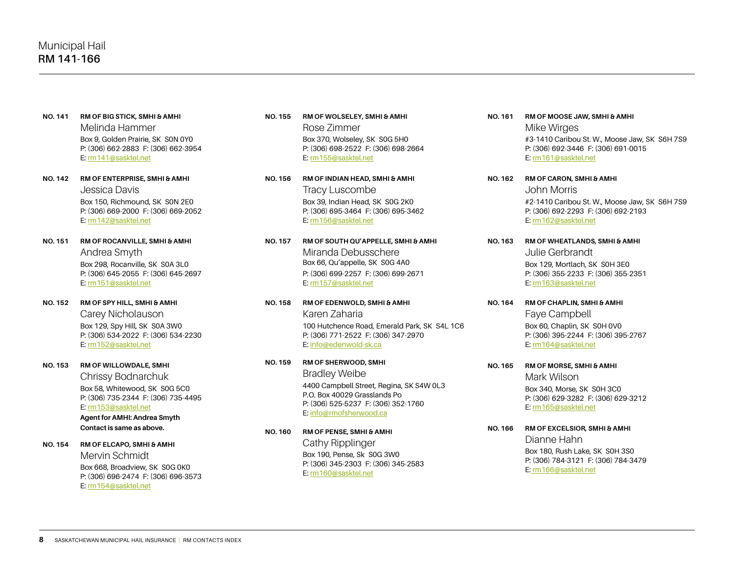- **NO. 141 RM OF BIG STICK, SMHI & AMHI** Melinda Hammer Box 9, Golden Prairie, SK S0N 0Y0 P: (306) 662-2883 F: (306) 662-3954 E: [rm141@sasktel.net](mailto:rm141@sasktel.net)
- **NO. 142 RM OF ENTERPRISE, SMHI & AMHI** Jessica Davis Box 150, Richmound, SK S0N 2E0 P: (306) 669-2000 F: (306) 669-2052 E: [rm142@sasktel.net](mailto:rm142@sasktel.net)
- **NO. 151 RM OF ROCANVILLE, SMHI & AMHI** Andrea Smyth Box 298, Rocanville, SK S0A 3L0 P: (306) 645-2055 F: (306) 645-2697 E: [rm151@sasktel.net](mailto:rm151@sasktel.net)
- **NO. 152 RM OF SPY HILL, SMHI & AMHI** Carey Nicholauson Box 129, Spy Hill, SK S0A 3W0 P: (306) 534-2022 F: (306) 534-2230 E: [rm152@sasktel.net](mailto:rm152@sasktel.net)
- **NO. 153 RM OF WILLOWDALE, SMHI**

Chrissy Bodnarchuk Box 58, Whitewood, SK S0G 5C0 P: (306) 735-2344 F: (306) 735-4495 E: [rm153@sasktel.net](mailto:rm153@sasktel.net)

**Agent for AMHI: Andrea Smyth Contact is same as above.**

**NO. 154 RM OF ELCAPO, SMHI & AMHI**

Mervin Schmidt Box 668, Broadview, SK S0G 0K0 P: (306) 696-2474 F: (306) 696-3573 E: [rm154@sasktel.net](mailto:rm154@sasktel.net)

- **NO. 155 RM OF WOLSELEY, SMHI & AMHI** Rose Zimmer Box 370, Wolseley, SK S0G 5H0 P: (306) 698-2522 F: (306) 698-2664 E: [rm155@sasktel.net](mailto:rm155@sasktel.net)
- **NO. 156 RM OF INDIAN HEAD, SMHI & AMHI** Tracy Luscombe Box 39, Indian Head, SK S0G 2K0 P: (306) 695-3464 F: (306) 695-3462 E: [rm156@sasktel.net](mailto:rm156@sasktel.net)
- **NO. 157 RM OF SOUTH QU'APPELLE, SMHI & AMHI** Miranda Debusschere Box 66, Qu'appelle, SK S0G 4A0 P: (306) 699-2257 F: (306) 699-2671 E: [rm157@sasktel.net](mailto:rm157@sasktel.net)
- **NO. 158 RM OF EDENWOLD, SMHI & AMHI**  Karen Zaharia 100 Hutchence Road, Emerald Park, SK S4L 1C6 P: (306) 771-2522 F: (306) 347-2970 E: info@edenwold-sk.ca
- **NO. 159 RM OF SHERWOOD, SMHI**  Bradley Weibe 4400 Campbell Street, Regina, SK S4W 0L3 P.O. Box 40029 Grasslands Po P: (306) 525-5237 F: (306) 352-1760

# E: [info@rmofsherwood.ca](mailto:info@rmofsherwood.ca)

**NO. 160 RM OF PENSE, SMHI & AMHI**

Cathy Ripplinger Box 190, Pense, Sk S0G 3W0 P: (306) 345-2303 F: (306) 345-2583 E: [rm160@sasktel.net](mailto:rm160@sasktel.net)

- **NO. 161 RM OF MOOSE JAW, SMHI & AMHI** Mike Wirges #3-1410 Caribou St. W., Moose Jaw, SK S6H 7S9 P: (306) 692-3446 F: (306) 691-0015 E: [rm161@sasktel.net](mailto:rm161@sasktel.net)
- **NO. 162 RM OF CARON, SMHI & AMHI** John Morris #2-1410 Caribou St. W., Moose Jaw, SK S6H 7S9 P: (306) 692-2293 F: (306) 692-2193 E: [rm162@sasktel.net](mailto:rm162@sasktel.net)
- **NO. 163 RM OF WHEATLANDS, SMHI & AMHI** Julie Gerbrandt Box 129, Mortlach, SK S0H 3E0 P: (306) 355-2233 F: (306) 355-2351 E: [rm163@sasktel.net](mailto:rm163@sasktel.net)
- **NO. 164 RM OF CHAPLIN, SMHI & AMHI** Faye Campbell Box 60, Chaplin, SK S0H 0V0 P: (306) 395-2244 F: (306) 395-2767 E: [rm164@sasktel.net](mailto:rm164@sasktel.net)
- **NO. 165 RM OF MORSE, SMHI & AMHI** Mark Wilson Box 340, Morse, SK S0H 3C0 P: (306) 629-3282 F: (306) 629-3212 E: [rm165@sasktel.net](mailto:rm165@sasktel.net)
- **NO. 166 RM OF EXCELSIOR, SMHI & AMHI** Dianne Hahn Box 180, Rush Lake, SK S0H 3S0 P: (306) 784-3121 F: (306) 784-3479 E: [rm166@sasktel.net](mailto:rm166%40sasktel.net?subject=)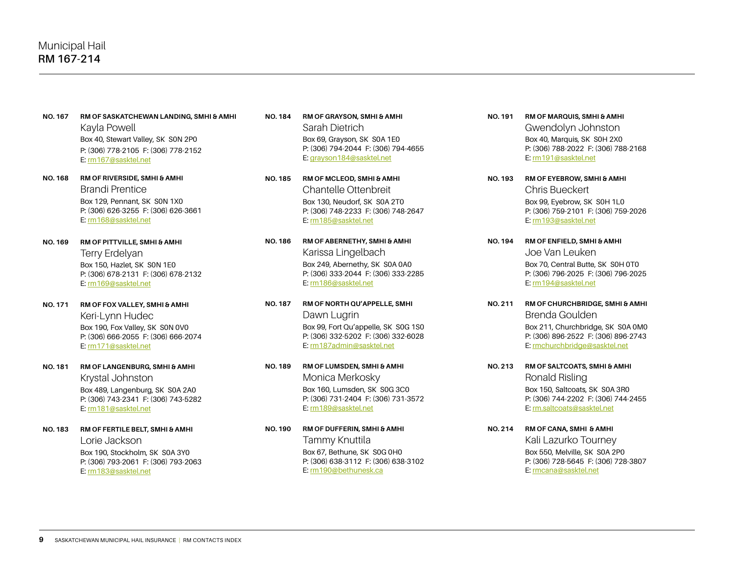- **NO. 167 RM OF SASKATCHEWAN LANDING, SMHI & AMHI** Kayla Powell Box 40, Stewart Valley, SK S0N 2P0 P: (306) 778-2105 F: (306) 778-2152 E: [rm167@sasktel.net](mailto:rm167%40sasktel.net?subject=)
- **NO. 168 RM OF RIVERSIDE, SMHI & AMHI** Brandi Prentice Box 129, Pennant, SK S0N 1X0 P: (306) 626-3255 F: (306) 626-3661 E: [rm168@sasktel.net](mailto:rm168%40sasktel.net?subject=)
- **NO. 169 RM OF PITTVILLE, SMHI & AMHI** Terry Erdelyan Box 150, Hazlet, SK S0N 1E0 P: (306) 678-2131 F: (306) 678-2132 E: [rm169@sasktel.net](mailto:rm169%40sasktel.net?subject=)
- **NO. 171 RM OF FOX VALLEY, SMHI & AMHI** Keri-Lynn Hudec Box 190, Fox Valley, SK S0N 0V0 P: (306) 666-2055 F: (306) 666-2074 E: [rm171@sasktel.net](mailto:rm171%40sasktel.net?subject=)
- **NO. 181 RM OF LANGENBURG, SMHI & AMHI** Krystal Johnston Box 489, Langenburg, SK S0A 2A0 P: (306) 743-2341 F: (306) 743-5282 E: [rm181@sasktel.net](mailto:rm181@sasktel.net)
- **NO. 183 RM OF FERTILE BELT, SMHI & AMHI** Lorie Jackson Box 190, Stockholm, SK S0A 3Y0 P: (306) 793-2061 F: (306) 793-2063 E: [rm183@sasktel.net](mailto:rm183@sasktel.net)
- **NO. 184 RM OF GRAYSON, SMHI & AMHI** Sarah Dietrich Box 69, Grayson, SK S0A 1E0 P: (306) 794-2044 F: (306) 794-4655 E: [grayson184@sasktel.net](mailto:grayson184@sasktel.net)
- **NO. 185 RM OF MCLEOD, SMHI & AMHI**  Chantelle Ottenbreit Box 130, Neudorf, SK S0A 2T0 P: (306) 748-2233 F: (306) 748-2647 E: [rm185@sasktel.net](mailto:rm185@sasktel.net)
- **NO. 186 RM OF ABERNETHY, SMHI & AMHI** Karissa Lingelbach Box 249, Abernethy, SK S0A 0A0 P: (306) 333-2044 F: (306) 333-2285 E: [rm186@sasktel.net](mailto:rm186@sasktel.net)
- **NO. 187 RM OF NORTH QU'APPELLE, SMHI**  Dawn Lugrin Box 99, Fort Qu'appelle, SK S0G 1S0 P: (306) 332-5202 F: (306) 332-6028 E: [rm187admin@sasktel.net](mailto:rm187admin@sasktel.net)
- **NO. 189 RM OF LUMSDEN, SMHI & AMHI** Monica Merkosky Box 160, Lumsden, SK S0G 3C0 P: (306) 731-2404 F: (306) 731-3572 E: [rm189@sasktel.net](mailto:rm189@sasktel.net)
- **NO. 190 RM OF DUFFERIN, SMHI & AMHI**  Tammy Knuttila Box 67, Bethune, SK S0G 0H0 P: (306) 638-3112 F: (306) 638-3102 E: [rm190@bethunesk.ca](mailto:rm190%40bethunesk.ca?subject=)
- **NO. 191 RM OF MARQUIS, SMHI & AMHI** Gwendolyn Johnston Box 40, Marquis, SK S0H 2X0 P: (306) 788-2022 F: (306) 788-2168 E: [rm191@sasktel.net](mailto:rm191@sasktel.net)
- **NO. 193 RM OF EYEBROW, SMHI & AMHI** Chris Bueckert Box 99, Eyebrow, SK S0H 1L0 P: (306) 759-2101 F: (306) 759-2026 E: [rm193@sasktel.net](mailto:rm193@sasktel.net)
- **NO. 194 RM OF ENFIELD, SMHI & AMHI** Joe Van Leuken Box 70, Central Butte, SK S0H 0T0 P: (306) 796-2025 F: (306) 796-2025 E: [rm194@sasktel.net](mailto:rm194@sasktel.net)
- **NO. 211 RM OF CHURCHBRIDGE, SMHI & AMHI** Brenda Goulden Box 211, Churchbridge, SK S0A 0M0 P: (306) 896-2522 F: (306) 896-2743 E: [rmchurchbridge@sasktel.net](mailto:rmchurchbridge@sasktel.net)
- **NO. 213 RM OF SALTCOATS, SMHI & AMHI** Ronald Risling Box 150, Saltcoats, SK S0A 3R0 P: (306) 744-2202 F: (306) 744-2455 E: [rm.saltcoats@sasktel.net](mailto:rm.saltcoats@sasktel.net)
- **NO. 214 RM OF CANA, SMHI & AMHI** Kali Lazurko Tourney Box 550, Melville, SK S0A 2P0 P: (306) 728-5645 F: (306) 728-3807 E: [rmcana@sasktel.net](mailto:rmcana@sasktel.net)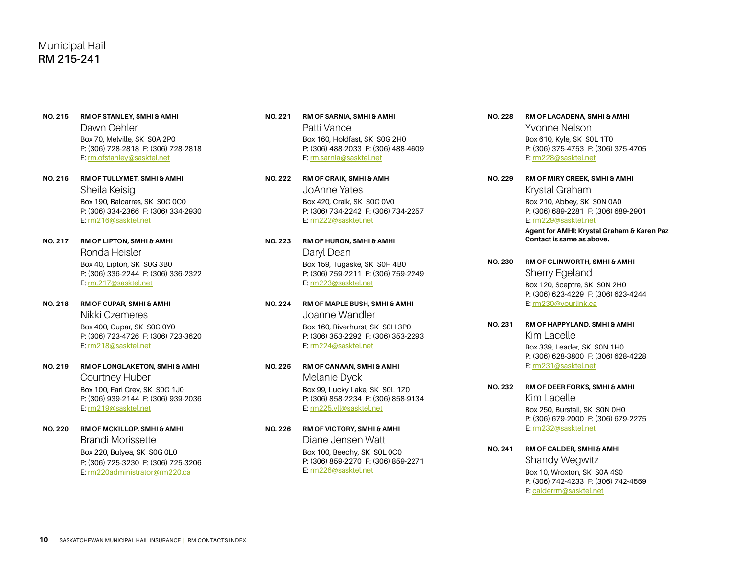- **NO. 215 RM OF STANLEY, SMHI & AMHI** Dawn Oehler Box 70, Melville, SK S0A 2P0 P: (306) 728-2818 F: (306) 728-2818 E: [rm.ofstanley@sasktel.net](mailto:rm.ofstanley@sasktel.net)
- **NO. 216 RM OF TULLYMET, SMHI & AMHI** Sheila Keisig Box 190, Balcarres, SK S0G 0C0 P: (306) 334-2366 F: (306) 334-2930 E: [rm216@sasktel.net](mailto:rm216@sasktel.net)
- **NO. 217 RM OF LIPTON, SMHI & AMHI**  Ronda Heisler Box 40, Lipton, SK S0G 3B0 P: (306) 336-2244 F: (306) 336-2322 E: [rm.217@sasktel.net](mailto:rm.217@sasktel.net)
- **NO. 218 RM OF CUPAR, SMHI & AMHI** Nikki Czemeres Box 400, Cupar, SK S0G 0Y0 P: (306) 723-4726 F: (306) 723-3620 E: [rm218@sasktel.net](mailto:rm218@sasktel.net)
- **NO. 219 RM OF LONGLAKETON, SMHI & AMHI** Courtney Huber Box 100, Earl Grey, SK S0G 1J0 P: (306) 939-2144 F: (306) 939-2036 E: [rm219@sasktel.net](mailto:rm219@sasktel.net)
- **NO. 220 RM OF MCKILLOP, SMHI & AMHI** Brandi Morissette Box 220, Bulyea, SK S0G 0L0 P: (306) 725-3230 F: (306) 725-3206 E: [rm220administrator@rm220.ca](mailto:rm220general@rm220.ca)
- **NO. 221 RM OF SARNIA, SMHI & AMHI** Patti Vance Box 160, Holdfast, SK S0G 2H0 P: (306) 488-2033 F: (306) 488-4609 E: [rm.sarnia@sasktel.net](mailto:rm.sarnia@sasktel.net)
- **NO. 222 RM OF CRAIK, SMHI & AMHI** JoAnne Yates Box 420, Craik, SK S0G 0V0 P: (306) 734-2242 F: (306) 734-2257 E: [rm222@sasktel.net](mailto:rm222@sasktel.net)
- **NO. 223 RM OF HURON, SMHI & AMHI** Daryl Dean Box 159, Tugaske, SK S0H 4B0 P: (306) 759-2211 F: (306) 759-2249 E: [rm223@sasktel.net](mailto:rm223@sasktel.net)
- **NO. 224 RM OF MAPLE BUSH, SMHI & AMHI** Joanne Wandler Box 160, Riverhurst, SK S0H 3P0 P: (306) 353-2292 F: (306) 353-2293 E: [rm224@sasktel.net](mailto:rm224@sasktel.net)
- **NO. 225 RM OF CANAAN, SMHI & AMHI** Melanie Dyck Box 99, Lucky Lake, SK S0L 1Z0 P: (306) 858-2234 F: (306) 858-9134 E: [rm225.vll@sasktel.net](mailto:rm225.vll@sasktel.net)
- **NO. 226 RM OF VICTORY, SMHI & AMHI** Diane Jensen Watt Box 100, Beechy, SK S0L 0C0 P: (306) 859-2270 F: (306) 859-2271 E: [rm226@sasktel.net](mailto:rm226@sasktel.net)
- **NO. 228 RM OF LACADENA, SMHI & AMHI** Yvonne Nelson Box 610, Kyle, SK S0L 1T0 P: (306) 375-4753 F: (306) 375-4705 E: [rm228@sasktel.net](mailto:rm228@sasktel.net)
- **NO. 229 RM OF MIRY CREEK, SMHI & AMHI**  Krystal Graham Box 210, Abbey, SK S0N 0A0 P: (306) 689-2281 F: (306) 689-2901 E: [rm229@sasktel.net](mailto:rm229@sasktel.net) **Agent for AMHI: Krystal Graham & Karen Paz** 
	- **Contact is same as above.**
- **NO. 230 RM OF CLINWORTH, SMHI & AMHI** Sherry Egeland Box 120, Sceptre, SK S0N 2H0 P: (306) 623-4229 F: (306) 623-4244 E: [rm230@yourlink.ca](mailto:rm230@yourlink.ca)
- **NO. 231 RM OF HAPPYLAND, SMHI & AMHI** Kim Lacelle Box 339, Leader, SK S0N 1H0 P: (306) 628-3800 F: (306) 628-4228 E: [rm231@sasktel.net](mailto:rm231@sasktel.net)
- **NO. 232 RM OF DEER FORKS, SMHI & AMHI** Kim Lacelle Box 250, Burstall, SK S0N 0H0 P: (306) 679-2000 F: (306) 679-2275 E: [rm232@sasktel.net](mailto:rm232@sasktel.net)
- **NO. 241 RM OF CALDER, SMHI & AMHI** Shandy Wegwitz Box 10, Wroxton, SK S0A 4S0 P: (306) 742-4233 F: (306) 742-4559 E: [calderrm@sasktel.net](mailto:calderrm@sasktel.net)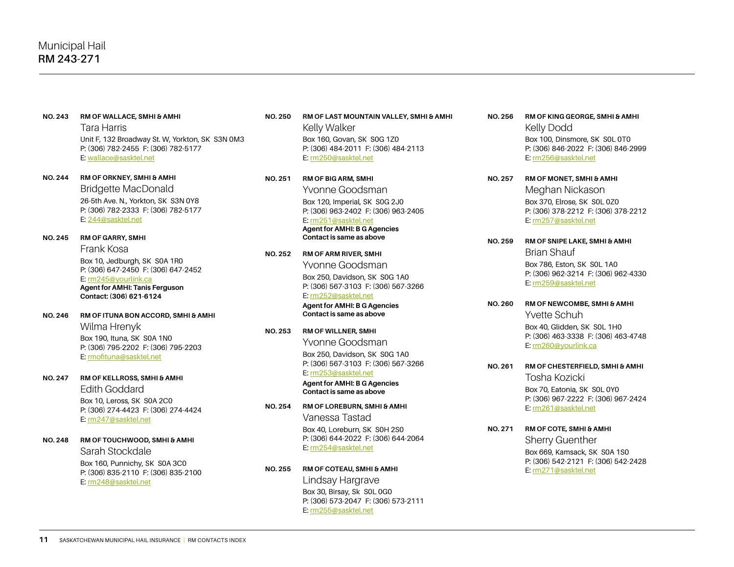#### **NO. 243 RM OF WALLACE, SMHI & AMHI**

Tara Harris Unit F, 132 Broadway St. W, Yorkton, SK S3N 0M3 P: (306) 782-2455 F: (306) 782-5177 E: [wallace@sasktel.net](mailto:wallace%40sasktel.net?subject=)

**NO. 244 RM OF ORKNEY, SMHI & AMHI** Bridgette MacDonald 26-5th Ave. N., Yorkton, SK S3N 0Y8 P: (306) 782-2333 F: (306) 782-5177 E: [244@sasktel.net](mailto:244%40sasktel.net?subject=)

# **NO. 245 RM OF GARRY, SMHI**  Frank Kosa Box 10, Jedburgh, SK S0A 1R0 P: (306) 647-2450 F: (306) 647-2452 E: [rm245@yourlink.ca](mailto:rm245@yourlink.ca)

**Agent for AMHI: Tanis Ferguson Contact: (306) 621-6124**

- **NO. 246 RM OF ITUNA BON ACCORD, SMHI & AMHI** Wilma Hrenyk Box 190, Ituna, SK S0A 1N0 P: (306) 795-2202 F: (306) 795-2203 E: [rmofituna@sasktel.net](mailto:rmofituna@sasktel.net)
- **NO. 247 RM OF KELLROSS, SMHI & AMHI** Edith Goddard Box 10, Leross, SK S0A 2C0 P: (306) 274-4423 F: (306) 274-4424 E: [rm247@sasktel.net](mailto:rm247@sasktel.net)
- **NO. 248 RM OF TOUCHWOOD, SMHI & AMHI**  Sarah Stockdale Box 160, Punnichy, SK S0A 3C0 P: (306) 835-2110 F: (306) 835-2100 E: rm248@sasktel.net

### **NO. 250 RM OF LAST MOUNTAIN VALLEY, SMHI & AMHI** Kelly Walker Box 160, Govan, SK S0G 1Z0 P: (306) 484-2011 F: (306) 484-2113 E: [rm250@sasktel.net](mailto:rm250@sasktel.net)

**NO. 251 RM OF BIG ARM, SMHI** Yvonne Goodsman Box 120, Imperial, SK S0G 2J0 P: (306) 963-2402 F: (306) 963-2405 E: [rm251@sasktel.net](mailto:rm251@sasktel.net) **Agent for AMHI: B G Agencies Contact is same as above**

# **NO. 252 RM OF ARM RIVER, SMHI** Yvonne Goodsman Box 250, Davidson, SK S0G 1A0 P: (306) 567-3103 F: (306) 567-3266 E: [rm252@sasktel.net](mailto:rm252@sasktel.net)

### **Agent for AMHI: B G Agencies Contact is same as above**

**NO. 253 RM OF WILLNER, SMHI** Yvonne Goodsman Box 250, Davidson, SK S0G 1A0 P: (306) 567-3103 F: (306) 567-3266 E: [rm253@sasktel.net](mailto:rm253@sasktel.net)

### **Agent for AMHI: B G Agencies Contact is same as above**

- **NO. 254 RM OF LOREBURN, SMHI & AMHI** Vanessa Tastad Box 40, Loreburn, SK S0H 2S0 P: (306) 644-2022 F: (306) 644-2064 E: [rm254@sasktel.net](mailto:rm254@sasktel.net)
- **NO. 255 RM OF COTEAU, SMHI & AMHI** Lindsay Hargrave Box 30, Birsay, Sk S0L 0G0 P: (306) 573-2047 F: (306) 573-2111 E: [rm255@sasktel.net](mailto:rm255@sasktel.net)
- **NO. 256 RM OF KING GEORGE, SMHI & AMHI** Kelly Dodd Box 100, Dinsmore, SK S0L 0T0 P: (306) 846-2022 F: (306) 846-2999 E: [rm256@sasktel.net](mailto:rm256@sasktel.net)
- **NO. 257 RM OF MONET, SMHI & AMHI** Meghan Nickason Box 370, Elrose, SK S0L 0Z0 P: (306) 378-2212 F: (306) 378-2212 E: [rm257@sasktel.net](mailto:rm257@sasktel.net)
- **NO. 259 RM OF SNIPE LAKE, SMHI & AMHI** Brian Shauf Box 786, Eston, SK S0L 1A0 P: (306) 962-3214 F: (306) 962-4330 E: [rm259@sasktel.net](mailto:rm259@sasktel.net)
- **NO. 260 RM OF NEWCOMBE, SMHI & AMHI** Yvette Schuh Box 40, Glidden, SK S0L 1H0 P: (306) 463-3338 F: (306) 463-4748 E: [rm260@yourlink.ca](mailto:rm260@yourlink.ca)
- **NO. 261 RM OF CHESTERFIELD, SMHI & AMHI** Tosha Kozicki Box 70, Eatonia, SK S0L 0Y0 P: (306) 967-2222 F: (306) 967-2424
	- E: [rm261@sasktel.net](mailto:rm261@sasktel.net)
- **NO. 271 RM OF COTE, SMHI & AMHI** Sherry Guenther Box 669, Kamsack, SK S0A 1S0 P: (306) 542-2121 F: (306) 542-2428 E: [rm271@sasktel.net](mailto:rm271@sasktel.net)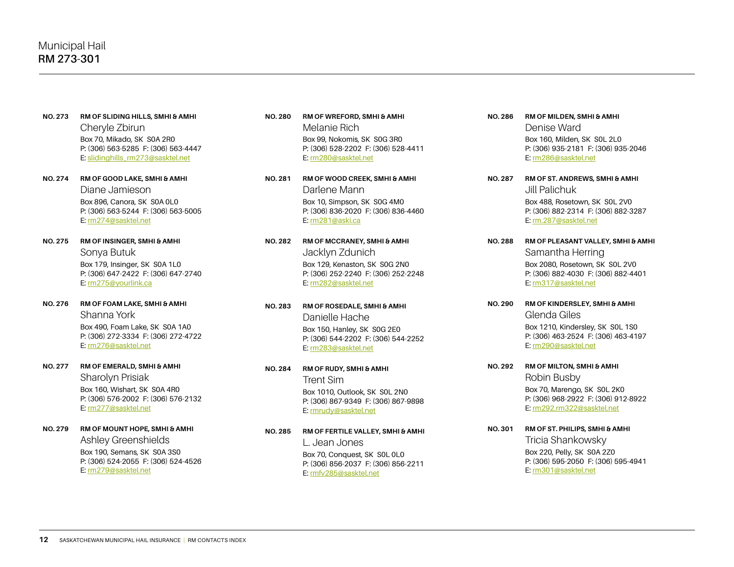- **NO. 273 RM OF SLIDING HILLS, SMHI & AMHI** Cheryle Zbirun Box 70, Mikado, SK S0A 2R0 P: (306) 563-5285 F: (306) 563-4447 E: slidinghills\_rm273@sasktel.net
- **NO. 274 RM OF GOOD LAKE, SMHI & AMHI** Diane Jamieson Box 896, Canora, SK S0A 0L0 P: (306) 563-5244 F: (306) 563-5005 E: [rm274@sasktel.net](mailto:rm274@sasktel.net)
- **NO. 275 RM OF INSINGER, SMHI & AMHI** Sonya Butuk Box 179, Insinger, SK S0A 1L0 P: (306) 647-2422 F: (306) 647-2740 E: [rm275@yourlink.ca](mailto:rm275@yourlink.ca)
- **NO. 276 RM OF FOAM LAKE, SMHI & AMHI** Shanna York Box 490, Foam Lake, SK S0A 1A0 P: (306) 272-3334 F: (306) 272-4722 E: [rm276@sasktel.net](mailto:rm276@sasktel.net)
- **NO. 277 RM OF EMERALD, SMHI & AMHI** Sharolyn Prisiak Box 160, Wishart, SK S0A 4R0 P: (306) 576-2002 F: (306) 576-2132 E: [rm277@sasktel.net](mailto:rm277@sasktel.net)
- **NO. 279 RM OF MOUNT HOPE, SMHI & AMHI** Ashley Greenshields Box 190, Semans, SK S0A 3S0 P: (306) 524-2055 F: (306) 524-4526 E: [rm279@sasktel.net](mailto:rm279office@sasktel.net)
- **NO. 280 RM OF WREFORD, SMHI & AMHI** Melanie Rich Box 99, Nokomis, SK S0G 3R0 P: (306) 528-2202 F: (306) 528-4411 E: [rm280@sasktel.net](mailto:rm280@sasktel.net)
- **NO. 281 RM OF WOOD CREEK, SMHI & AMHI** Darlene Mann Box 10, Simpson, SK S0G 4M0 P: (306) 836-2020 F: (306) 836-4460 E: [rm281@aski.ca](mailto:rm281@aski.ca)
- **NO. 282 RM OF MCCRANEY, SMHI & AMHI** Jacklyn Zdunich Box 129, Kenaston, SK S0G 2N0 P: (306) 252-2240 F: (306) 252-2248 E: [rm282@sasktel.net](mailto:rm282@sasktel.net)
- **NO. 283 RM OF ROSEDALE, SMHI & AMHI** Danielle Hache Box 150, Hanley, SK S0G 2E0 P: (306) 544-2202 F: (306) 544-2252 E: [rm283@sasktel.net](mailto:rm283@sasktel.net)
- **NO. 284 RM OF RUDY, SMHI & AMHI** Trent Sim Box 1010, Outlook, SK S0L 2N0 P: (306) 867-9349 F: (306) 867-9898 E: [rmrudy@sasktel.net](mailto:rmrudy@sasktel.net)
- **NO. 285 RM OF FERTILE VALLEY, SMHI & AMHI** L. Jean Jones Box 70, Conquest, SK S0L 0L0 P: (306) 856-2037 F: (306) 856-2211 E: [rmfv285@sasktel.net](mailto:rmfv285@sasktel.net)
- **NO. 286 RM OF MILDEN, SMHI & AMHI** Denise Ward Box 160, Milden, SK S0L 2L0 P: (306) 935-2181 F: (306) 935-2046 E: [rm286@sasktel.net](mailto:rm286@sasktel.net)
- **NO. 287 RM OF ST. ANDREWS, SMHI & AMHI** Jill Palichuk Box 488, Rosetown, SK S0L 2V0 P: (306) 882-2314 F: (306) 882-3287 E: [rm.287@sasktel.net](mailto:rm.287@sasktel.net)
- **NO. 288 RM OF PLEASANT VALLEY, SMHI & AMHI** Samantha Herring Box 2080, Rosetown, SK S0L 2V0 P: (306) 882-4030 F: (306) 882-4401 E: [rm317@sasktel.net](mailto:rm317@sasktel.net)
- **NO. 290 RM OF KINDERSLEY, SMHI & AMHI** Glenda Giles Box 1210, Kindersley, SK S0L 1S0 P: (306) 463-2524 F: (306) 463-4197 E: [rm290@sasktel.net](mailto:rm290@sasktel.net)
- **NO. 292 RM OF MILTON, SMHI & AMHI** Robin Busby Box 70, Marengo, SK S0L 2K0 P: (306) 968-2922 F: (306) 912-8922 E: [rm292.rm322@sasktel.net](mailto:rm292.rm322@sasktel.net)
- **NO. 301 RM OF ST. PHILIPS, SMHI & AMHI**  Tricia Shankowsky Box 220, Pelly, SK S0A 2Z0 P: (306) 595-2050 F: (306) 595-4941 E: [rm301@sasktel.net](mailto:rm301@sasktel.net)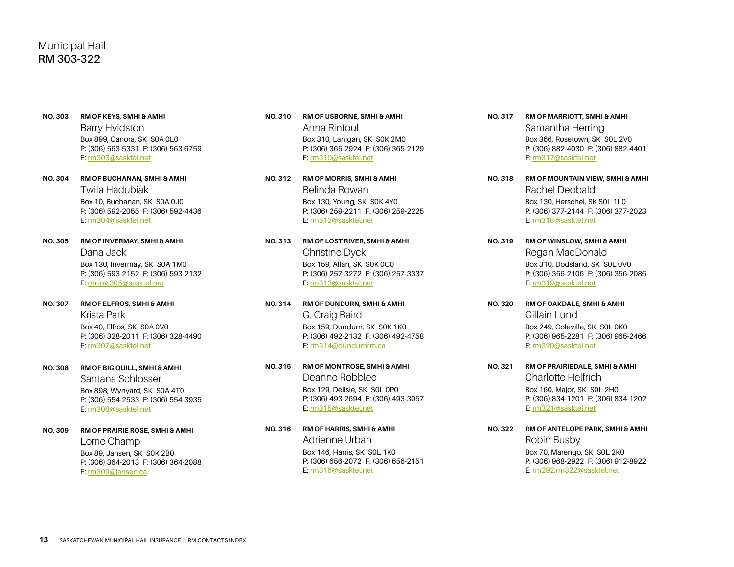- **NO. 303 RM OF KEYS, SMHI & AMHI** Barry Hvidston Box 899, Canora, SK S0A 0L0 P: (306) 563-5331 F: (306) 563-6759 E: [rm303@sasktel.net](mailto:rm303@sasktel.net)
- **NO. 304 RM OF BUCHANAN, SMHI & AMHI** Twila Hadubiak Box 10, Buchanan, SK S0A 0J0 P: (306) 592-2055 F: (306) 592-4436 E: [rm304@sasktel.net](mailto:rm304@sasktel.net)
- **NO. 305 RM OF INVERMAY, SMHI & AMHI** Dana Jack Box 130, Invermay, SK S0A 1M0 P: (306) 593-2152 F: (306) 593-2132 E: [rm.inv.305@sasktel.net](mailto:rm.inv.305@sasktel.net)
- **NO. 307 RM OF ELFROS, SMHI & AMHI** Krista Park Box 40, Elfros, SK S0A 0V0 P: (306) 328-2011 F: (306) 328-4490 E: [rm307@sasktel.net](mailto:rm307@sasktel.net)
- **NO. 308 RM OF BIG QUILL, SMHI & AMHI** Santana Schlosser Box 898, Wynyard, SK S0A 4T0 P: (306) 554-2533 F: (306) 554-3935 E: [rm308@sasktel.net](mailto:rm308@sasktel.net)
- **NO. 309 RM OF PRAIRIE ROSE, SMHI & AMHI**  Lorrie Champ Box 89, Jansen, SK S0K 2B0 P: (306) 364-2013 F: (306) 364-2088 E: [rm309@jansen.ca](mailto:rm309@jansen.ca)
- **NO. 310 RM OF USBORNE, SMHI & AMHI** Anna Rintoul Box 310, Lanigan, SK S0K 2M0 P: (306) 365-2924 F: (306) 365-2129 E: [rm310@sasktel.net](mailto:rm310@sasktel.net)
- **NO. 312 RM OF MORRIS, SMHI & AMHI** Belinda Rowan Box 130, Young, SK S0K 4Y0 P: (306) 259-2211 F: (306) 259-2225 E: [rm312@sasktel.net](mailto:rm312@sasktel.net)
- **NO. 313 RM OF LOST RIVER, SMHI & AMHI** Christine Dyck Box 159, Allan, SK S0K 0C0 P: (306) 257-3272 F: (306) 257-3337 E: [rm313@sasktel.net](mailto:rm313@sasktel.net)
- **NO. 314 RM OF DUNDURN, SMHI & AMHI**  G. Craig Baird Box 159, Dundurn, SK S0K 1K0 P: (306) 492-2132 F: (306) 492-4758 E: rm314@dundurnrm.ca
- **NO. 315 RM OF MONTROSE, SMHI & AMHI**  Deanne Robblee Box 129, Delisle, SK S0L 0P0 P: (306) 493-2694 F: (306) 493-3057 E: [rm315@sasktel.net](mailto:rm315@sasktel.net)
- **NO. 316 RM OF HARRIS, SMHI & AMHI** Adrienne Urban Box 146, Harris, SK S0L 1K0 P: (306) 656-2072 F: (306) 656-2151 E: [rm316@sasktel.net](mailto:rm316%40sasktel.net?subject=)
- **NO. 317 RM OF MARRIOTT, SMHI & AMHI** Samantha Herring Box 366, Rosetown, SK S0L 2V0 P: (306) 882-4030 F: (306) 882-4401 E: [rm317@sasktel.net](mailto:rm317@sasktel.net)
- **NO. 318 RM OF MOUNTAIN VIEW, SMHI & AMHI** Rachel Deobald Box 130, Herschel, SK S0L 1L0 P: (306) 377-2144 F: (306) 377-2023 E: [rm318@sasktel.net](mailto:rm318@sasktel.net)
- **NO. 319 RM OF WINSLOW, SMHI & AMHI** Regan MacDonald Box 310, Dodsland, SK S0L 0V0 P: (306) 356-2106 F: (306) 356-2085 E: [rm319@sasktel.net](mailto:rm319@sasktel.net)
- **NO. 320 RM OF OAKDALE, SMHI & AMHI** Gillain Lund Box 249, Coleville, SK S0L 0K0 P: (306) 965-2281 F: (306) 965-2466 E: [rm320@sasktel.net](mailto:rm320@sasktel.net)
- **NO. 321 RM OF PRAIRIEDALE, SMHI & AMHI** Charlotte Helfrich Box 160, Major, SK S0L 2H0 P: (306) 834-1201 F: (306) 834-1202 E: [rm321@sasktel.net](mailto:rm321@sasktel.net)
- **NO. 322 RM OF ANTELOPE PARK, SMHI & AMHI** Robin Busby Box 70, Marengo, SK S0L 2K0 P: (306) 968-2922 F: (306) 912-8922 E: [rm292.rm322@sasktel.net](mailto:rm292.rm322@sasktel.net)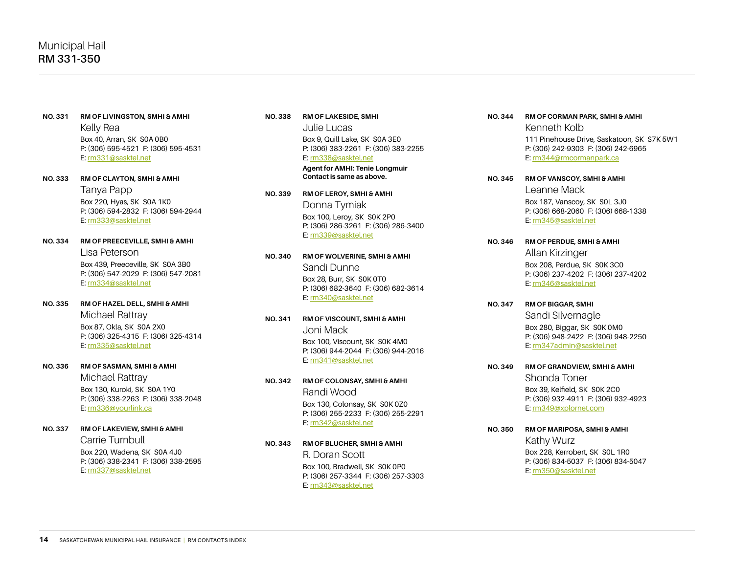- **NO. 331 RM OF LIVINGSTON, SMHI & AMHI** Kelly Rea Box 40, Arran, SK S0A 0B0 P: (306) 595-4521 F: (306) 595-4531 E: [rm331@sasktel.net](mailto:rm331@sasktel.net)
- **NO. 333 RM OF CLAYTON, SMHI & AMHI**  Tanya Papp Box 220, Hyas, SK S0A 1K0 P: (306) 594-2832 F: (306) 594-2944 E: [rm333@sasktel.net](mailto:rm333@sasktel.net)
- **NO. 334 RM OF PREECEVILLE, SMHI & AMHI** Lisa Peterson Box 439, Preeceville, SK S0A 3B0 P: (306) 547-2029 F: (306) 547-2081 E: [rm334@sasktel.net](mailto:rm334@sasktel.net)
- **NO. 335 RM OF HAZEL DELL, SMHI & AMHI** Michael Rattray Box 87, Okla, SK S0A 2X0 P: (306) 325-4315 F: (306) 325-4314 E: [rm335@sasktel.net](mailto:rm335@sasktel.net)
- **NO. 336 RM OF SASMAN, SMHI & AMHI**

Michael Rattray Box 130, Kuroki, SK S0A 1Y0 P: (306) 338-2263 F: (306) 338-2048 E: [rm336@yourlink.ca](mailto:rm336@yourlink.ca)

**NO. 337 RM OF LAKEVIEW, SMHI & AMHI** Carrie Turnbull

Box 220, Wadena, SK S0A 4J0 P: (306) 338-2341 F: (306) 338-2595 E: [rm337@sasktel.net](mailto:rm337@sasktel.net)

### **NO. 338 RM OF LAKESIDE, SMHI**

Julie Lucas Box 9, Quill Lake, SK S0A 3E0 P: (306) 383-2261 F: (306) 383-2255 E: [rm338@sasktel.net](mailto:rm338@sasktel.net)

**Agent for AMHI: Tenie Longmuir Contact is same as above.**

**NO. 339 RM OF LEROY, SMHI & AMHI**

Donna Tymiak Box 100, Leroy, SK S0K 2P0 P: (306) 286-3261 F: (306) 286-3400 E: [rm339@sasktel.net](mailto:rm339@sasktel.net)

# **NO. 340 RM OF WOLVERINE, SMHI & AMHI** Sandi Dunne Box 28, Burr, SK S0K 0T0

P: (306) 682-3640 F: (306) 682-3614 E: [rm340@sasktel.net](mailto:rm340@sasktel.net)

**NO. 341 RM OF VISCOUNT, SMHI & AMHI**

Joni Mack Box 100, Viscount, SK S0K 4M0 P: (306) 944-2044 F: (306) 944-2016 E: [rm341@sasktel.net](mailto:rm341@sasktel.net)

- **NO. 342 RM OF COLONSAY, SMHI & AMHI** Randi Wood Box 130, Colonsay, SK S0K 0Z0 P: (306) 255-2233 F: (306) 255-2291 E: [rm342@sasktel.net](mailto:rm342@sasktel.net)
- **NO. 343 RM OF BLUCHER, SMHI & AMHI** R. Doran Scott Box 100, Bradwell, SK S0K 0P0 P: (306) 257-3344 F: (306) 257-3303
	- E: [rm343@sasktel.net](mailto:rm343@sasktel.net)

## **NO. 344 RM OF CORMAN PARK, SMHI & AMHI**

Kenneth Kolb 111 Pinehouse Drive, Saskatoon, SK S7K 5W1 P: (306) 242-9303 F: (306) 242-6965 E: [rm344@rmcormanpark.ca](mailto:rm344@rmcormanpark.ca)

- **NO. 345 RM OF VANSCOY, SMHI & AMHI** Leanne Mack Box 187, Vanscoy, SK S0L 3J0 P: (306) 668-2060 F: (306) 668-1338 E: [rm345@sasktel.net](mailto:rm345@sasktel.net)
- **NO. 346 RM OF PERDUE, SMHI & AMHI** Allan Kirzinger Box 208, Perdue, SK S0K 3C0 P: (306) 237-4202 F: (306) 237-4202 E: [rm346@sasktel.net](mailto:rm346@sasktel.net)
- **NO. 347 RM OF BIGGAR, SMHI** Sandi Silvernagle Box 280, Biggar, SK S0K 0M0 P: (306) 948-2422 F: (306) 948-2250 E: [rm347admin@sasktel.net](mailto:rm347@sasktel.net)
- **NO. 349 RM OF GRANDVIEW, SMHI & AMHI** Shonda Toner Box 39, Kelfield, SK S0K 2C0 P: (306) 932-4911 F: (306) 932-4923 E: [rm349@xplornet.com](mailto:rm349@xplornet.com)
- **NO. 350 RM OF MARIPOSA, SMHI & AMHI** Kathy Wurz Box 228, Kerrobert, SK S0L 1R0 P: (306) 834-5037 F: (306) 834-5047 E: [rm350@sasktel.net](mailto:rm350@sasktel.net)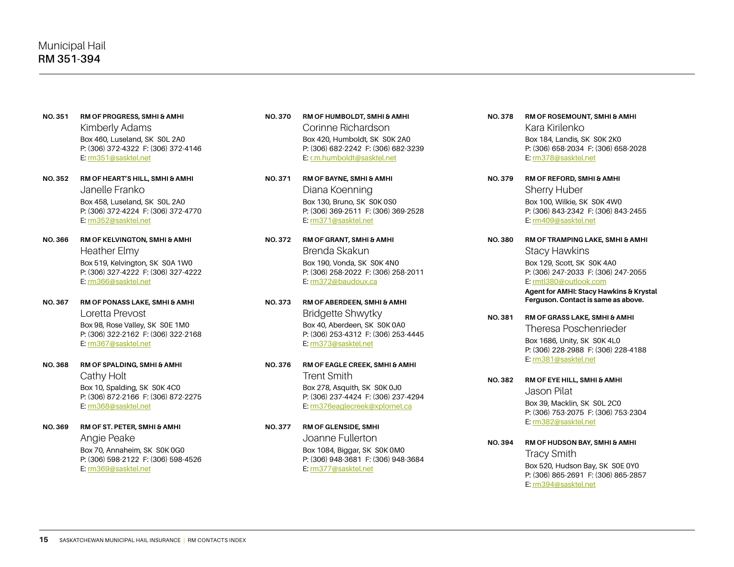- **NO. 351 RM OF PROGRESS, SMHI & AMHI** Kimberly Adams Box 460, Luseland, SK S0L 2A0 P: (306) 372-4322 F: (306) 372-4146 E: [rm351@sasktel.net](mailto:rm351%40sasktel.net?subject=)
- **NO. 352 RM OF HEART'S HILL, SMHI & AMHI** Janelle Franko Box 458, Luseland, SK S0L 2A0 P: (306) 372-4224 F: (306) 372-4770 E: [rm352@sasktel.net](mailto:rm352@sasktel.net)
- **NO. 366 RM OF KELVINGTON, SMHI & AMHI** Heather Elmy Box 519, Kelvington, SK S0A 1W0 P: (306) 327-4222 F: (306) 327-4222 E: [rm366@sasktel.net](mailto:rm366@sasktel.net)
- **NO. 367 RM OF PONASS LAKE, SMHI & AMHI** Loretta Prevost Box 98, Rose Valley, SK S0E 1M0 P: (306) 322-2162 F: (306) 322-2168 E: [rm367@sasktel.net](mailto:rm367@sasktel.net)
- **NO. 368 RM OF SPALDING, SMHI & AMHI** Cathy Holt Box 10, Spalding, SK S0K 4C0 P: (306) 872-2166 F: (306) 872-2275 E: [rm368@sasktel.net](mailto:rm368@sasktel.net)
- **NO. 369 RM OF ST. PETER, SMHI & AMHI** Angie Peake Box 70, Annaheim, SK S0K 0G0 P: (306) 598-2122 F: (306) 598-4526 E: [rm369@sasktel.net](mailto:rm369@sasktel.net)
- **NO. 370 RM OF HUMBOLDT, SMHI & AMHI** Corinne Richardson Box 420, Humboldt, SK S0K 2A0 P: (306) 682-2242 F: (306) 682-3239 E: [r.m.humboldt@sasktel.net](mailto:r.m.humboldt@sasktel.net)
- **NO. 371 RM OF BAYNE, SMHI & AMHI** Diana Koenning Box 130, Bruno, SK S0K 0S0 P: (306) 369-2511 F: (306) 369-2528 E: [rm371@sasktel.net](mailto:rm371@sasktel.net)
- **NO. 372 RM OF GRANT, SMHI & AMHI** Brenda Skakun Box 190, Vonda, SK S0K 4N0 P: (306) 258-2022 F: (306) 258-2011 E: [rm372@baudoux.ca](mailto:rm372@baudoux.ca)
- **NO. 373 RM OF ABERDEEN, SMHI & AMHI**  Bridgette Shwytky Box 40, Aberdeen, SK S0K 0A0 P: (306) 253-4312 F: (306) 253-4445 E: [rm373@sasktel.net](mailto:rm373@sasktel.net)
- **NO. 376 RM OF EAGLE CREEK, SMHI & AMHI** Trent Smith Box 278, Asquith, SK S0K 0J0 P: (306) 237-4424 F: (306) 237-4294 E: [rm376eaglecreek@xplornet.ca](mailto:rm376eaglecreek@xplornet.ca)
- **NO. 377 RM OF GLENSIDE, SMHI** Joanne Fullerton Box 1084, Biggar, SK S0K 0M0 P: (306) 948-3681 F: (306) 948-3684 E: [rm377@sasktel.net](mailto:rm377@sasktel.net)
- **NO. 378 RM OF ROSEMOUNT, SMHI & AMHI** Kara Kirilenko Box 184, Landis, SK S0K 2K0 P: (306) 658-2034 F: (306) 658-2028 E: [rm378@sasktel.net](mailto:rm378@sasktel.net)
- **NO. 379 RM OF REFORD, SMHI & AMHI** Sherry Huber Box 100, Wilkie, SK S0K 4W0 P: (306) 843-2342 F: (306) 843-2455 E: [rm409@sasktel.net](mailto:rm409@sasktel.net)
- **NO. 380 RM OF TRAMPING LAKE, SMHI & AMHI** Stacy Hawkins Box 129, Scott, SK S0K 4A0 P: (306) 247-2033 F: (306) 247-2055 E: [rmtl380@outlook.com](mailto:rmtl380%40outlook.com?subject=)

**Agent for AMHI: Stacy Hawkins & Krystal Ferguson. Contact is same as above.**

- **NO. 381 RM OF GRASS LAKE, SMHI & AMHI** Theresa Poschenrieder Box 1686, Unity, SK S0K 4L0 P: (306) 228-2988 F: (306) 228-4188 E: [rm381@sasktel.net](mailto:rm381@sasktel.net)
- **NO. 382 RM OF EYE HILL, SMHI & AMHI** Jason Pilat Box 39, Macklin, SK S0L 2C0 P: (306) 753-2075 F: (306) 753-2304 E: [rm382@sasktel.net](mailto:rm382@sasktel.net)
- **NO. 394 RM OF HUDSON BAY, SMHI & AMHI** Tracy Smith Box 520, Hudson Bay, SK S0E 0Y0 P: (306) 865-2691 F: (306) 865-2857 E: [rm394@sasktel.net](mailto:rm394@sasktel.net)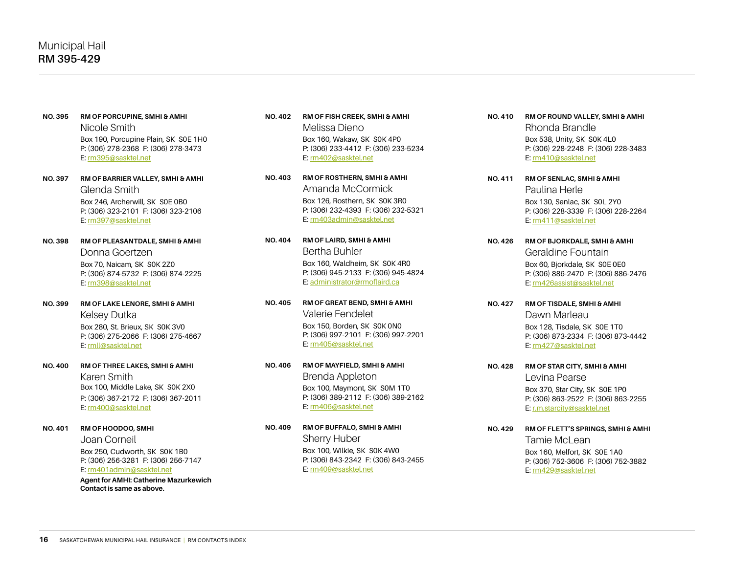- **NO. 395 RM OF PORCUPINE, SMHI & AMHI** Nicole Smith Box 190, Porcupine Plain, SK S0E 1H0 P: (306) 278-2368 F: (306) 278-3473 E: [rm395@sasktel.net](mailto:rm395@sasktel.net)
- **NO. 397 RM OF BARRIER VALLEY, SMHI & AMHI** Glenda Smith Box 246, Archerwill, SK S0E 0B0 P: (306) 323-2101 F: (306) 323-2106 E: [rm397@sasktel.net](mailto:rm397@sasktel.net)
- **NO. 398 RM OF PLEASANTDALE, SMHI & AMHI** Donna Goertzen Box 70, Naicam, SK S0K 2Z0 P: (306) 874-5732 F: (306) 874-2225 E: [rm398@sasktel.net](mailto:rm398.office@sasktel.net)
- **NO. 399 RM OF LAKE LENORE, SMHI & AMHI**  Kelsey Dutka Box 280, St. Brieux, SK S0K 3V0 P: (306) 275-2066 F: (306) 275-4667 E: [rmll@sasktel.net](mailto:rmll@sasktel.net)
- **NO. 400 RM OF THREE LAKES, SMHI & AMHI** Karen Smith Box 100, Middle Lake, SK S0K 2X0 P: (306) 367-2172 F: (306) 367-2011 E: [rm400@sasktel.net](mailto:rm400@sasktel.net)
- **NO. 401 RM OF HOODOO, SMHI** Joan Corneil Box 250, Cudworth, SK S0K 1B0 P: (306) 256-3281 F: (306) 256-7147

E: [rm401admin@sasktel.net](mailto:rm401admin%40sasktel.net?subject=) **Agent for AMHI: Catherine Mazurkewich**

**Contact is same as above.**

- **NO. 402 RM OF FISH CREEK, SMHI & AMHI** Melissa Dieno Box 160, Wakaw, SK S0K 4P0 P: (306) 233-4412 F: (306) 233-5234 E: [rm402@sasktel.net](mailto:rm402%40sasktel.net?subject=)
- **NO. 403 RM OF ROSTHERN, SMHI & AMHI** Amanda McCormick Box 126, Rosthern, SK S0K 3R0 P: (306) 232-4393 F: (306) 232-5321 E: [rm403admin@sasktel.net](mailto:rm403admin@sasktel.net)
- **NO. 404 RM OF LAIRD, SMHI & AMHI** Bertha Buhler Box 160, Waldheim, SK S0K 4R0 P: (306) 945-2133 F: (306) 945-4824 E: [administrator@rmoflaird.ca](mailto:administrator%40rmoflaird.ca?subject=)
- **NO. 405 RM OF GREAT BEND, SMHI & AMHI** Valerie Fendelet Box 150, Borden, SK S0K 0N0 P: (306) 997-2101 F: (306) 997-2201 E: [rm405@sasktel.net](mailto:rm405@sasktel.net)
- **NO. 406 RM OF MAYFIELD, SMHI & AMHI** Brenda Appleton Box 100, Maymont, SK S0M 1T0 P: (306) 389-2112 F: (306) 389-2162 E: [rm406@sasktel.net](mailto:rm406@sasktel.net)
- **NO. 409 RM OF BUFFALO, SMHI & AMHI** Sherry Huber Box 100, Wilkie, SK S0K 4W0 P: (306) 843-2342 F: (306) 843-2455 E: [rm409@sasktel.net](mailto:rm409@sasktel.net)
- **NO. 410 RM OF ROUND VALLEY, SMHI & AMHI** Rhonda Brandle Box 538, Unity, SK S0K 4L0 P: (306) 228-2248 F: (306) 228-3483 E: [rm410@sasktel.net](mailto:rm410@sasktel.net)
- **NO. 411 RM OF SENLAC, SMHI & AMHI** Paulina Herle Box 130, Senlac, SK S0L 2Y0 P: (306) 228-3339 F: (306) 228-2264 E: [rm411@sasktel.net](mailto:rm411@sasktel.net)
- **NO. 426 RM OF BJORKDALE, SMHI & AMHI** Geraldine Fountain Box 60, Bjorkdale, SK S0E 0E0 P: (306) 886-2470 F: (306) 886-2476 E: [rm426assist@sasktel.net](mailto:rm426@sasktel.net)
- **NO. 427 RM OF TISDALE, SMHI & AMHI** Dawn Marleau Box 128, Tisdale, SK S0E 1T0 P: (306) 873-2334 F: (306) 873-4442 E: [rm427@sasktel.net](mailto:rm427@sasktel.net)
- **NO. 428 RM OF STAR CITY, SMHI & AMHI** Levina Pearse Box 370, Star City, SK S0E 1P0 P: (306) 863-2522 F: (306) 863-2255 E: [r.m.starcity@sasktel.net](mailto:r.m.starcity@sasktel.net)
- **NO. 429 RM OF FLETT'S SPRINGS, SMHI & AMHI** Tamie McLean Box 160, Melfort, SK S0E 1A0 P: (306) 752-3606 F: (306) 752-3882 E: [rm429@sasktel.net](mailto:rm429@sasktel.net)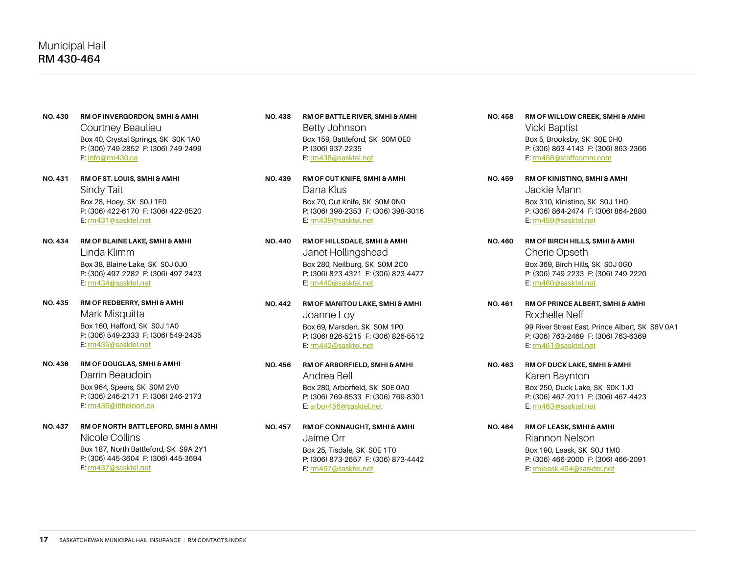- **NO. 430 RM OF INVERGORDON, SMHI & AMHI** Courtney Beaulieu Box 40, Crystal Springs, SK S0K 1A0 P: (306) 749-2852 F: (306) 749-2499 E: info@rm430.ca
- **NO. 431 RM OF ST. LOUIS, SMHI & AMHI** Sindy Tait Box 28, Hoey, SK S0J 1E0 P: (306) 422-6170 F: (306) 422-8520 E: [rm431@sasktel.net](mailto:rm431@sasktel.net)
- **NO. 434 RM OF BLAINE LAKE, SMHI & AMHI** Linda Klimm Box 38, Blaine Lake, SK S0J 0J0 P: (306) 497-2282 F: (306) 497-2423 E: [rm434@sasktel.ne](mailto:rm434@sasktel.net)t
- **NO. 435 RM OF REDBERRY, SMHI & AMHI**  Mark Misquitta Box 160, Hafford, SK S0J 1A0 P: (306) 549-2333 F: (306) 549-2435 E: [rm435@sasktel.net](mailto:rm435%40sasktel.net?subject=)
- **NO. 436 RM OF DOUGLAS, SMHI & AMHI** Darrin Beaudoin Box 964, Speers, SK S0M 2V0 P: (306) 246-2171 F: (306) 246-2173 E: [rm436@littleloon.ca](mailto:rm436@littleloon.ca)
- **NO. 437 RM OF NORTH BATTLEFORD, SMHI & AMHI** Nicole Collins Box 187, North Battleford, SK S9A 2Y1 P: (306) 445-3604 F: (306) 445-3694 E: [rm437@sasktel.net](mailto:rm437@sasktel.net)
- **NO. 438 RM OF BATTLE RIVER, SMHI & AMHI** Betty Johnson Box 159, Battleford, SK S0M 0E0 P: (306) 937-2235 E: [rm438@sasktel.net](mailto:rm438@sasktel.net)
- **NO. 439 RM OF CUT KNIFE, SMHI & AMHI** Dana Klus Box 70, Cut Knife, SK S0M 0N0 P: (306) 398-2353 F: (306) 398-3016 E: [rm439@sasktel.net](mailto:rm439@sasktel.net)
- **NO. 440 RM OF HILLSDALE, SMHI & AMHI** Janet Hollingshead Box 280, Neilburg, SK S0M 2C0 P: (306) 823-4321 F: (306) 823-4477 E: [rm440@sasktel.net](mailto:rm440@sasktel.net)
- **NO. 442 RM OF MANITOU LAKE, SMHI & AMHI** Joanne Loy Box 69, Marsden, SK S0M 1P0 P: (306) 826-5215 F: (306) 826-5512 E: [rm442@sasktel.net](mailto:rm442@sasktel.net)
- **NO. 456 RM OF ARBORFIELD, SMHI & AMHI** Andrea Bell Box 280, Arborfield, SK S0E 0A0 P: (306) 769-8533 F: (306) 769-8301 E: [arbor456@sasktel.net](mailto:arbor456%40sasktel.net?subject=)
- **NO. 457 RM OF CONNAUGHT, SMHI & AMHI** Jaime Orr Box 25, Tisdale, SK S0E 1T0 P: (306) 873-2657 F: (306) 873-4442 E: [rm457@sasktel.net](mailto:rm457@sasktel.net)
- **NO. 458 RM OF WILLOW CREEK, SMHI & AMHI** Vicki Baptist Box 5, Brooksby, SK S0E 0H0 P: (306) 863-4143 F: (306) 863-2366 E: [rm458@staffcomm.com](mailto:rm458@staffcomm.com)
- **NO. 459 RM OF KINISTINO, SMHI & AMHI** Jackie Mann Box 310, Kinistino, SK S0J 1H0 P: (306) 864-2474 F: (306) 864-2880 E: [rm459@sasktel.net](mailto:rm459@sasktel.net)
- **NO. 460 RM OF BIRCH HILLS, SMHI & AMHI** Cherie Opseth Box 369, Birch Hills, SK S0J 0G0 P: (306) 749-2233 F: (306) 749-2220 E: [rm460@sasktel.net](mailto:rm460@sasktel.net)
- **NO. 461 RM OF PRINCE ALBERT, SMHI & AMHI**  Rochelle Neff 99 River Street East, Prince Albert, SK S6V 0A1 P: (306) 763-2469 F: (306) 763-6369 E: [rm461@sasktel.net](mailto:rm461@sasktel.net)
- **NO. 463 RM OF DUCK LAKE, SMHI & AMHI** Karen Baynton Box 250, Duck Lake, SK S0K 1J0 P: (306) 467-2011 F: (306) 467-4423 E: [rm463@sasktel.net](mailto:rm463@sasktel.net)
- **NO. 464 RM OF LEASK, SMHI & AMHI** Riannon Nelson Box 190, Leask, SK S0J 1M0 P: (306) 466-2000 F: (306) 466-2091 E: [rmleask.464@sasktel.net](mailto:rmleask.464@sasktel.net)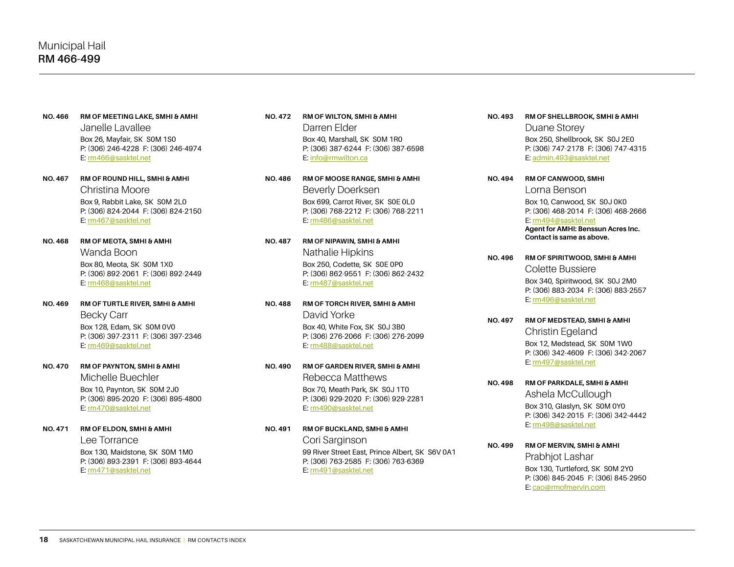- **NO. 466 RM OF MEETING LAKE, SMHI & AMHI** Janelle Lavallee Box 26, Mayfair, SK S0M 1S0 P: (306) 246-4228 F: (306) 246-4974 E: [rm466@sasktel.net](mailto:rm466@sasktel.net)
- **NO. 467 RM OF ROUND HILL, SMHI & AMHI** Christina Moore Box 9, Rabbit Lake, SK S0M 2L0 P: (306) 824-2044 F: (306) 824-2150 E: [rm467@sasktel.net](mailto:rm467@sasktel.net)
- **NO. 468 RM OF MEOTA, SMHI & AMHI** Wanda Boon Box 80, Meota, SK S0M 1X0 P: (306) 892-2061 F: (306) 892-2449 E: [rm468@sasktel.net](mailto:rm468@sasktel.net)
- **NO. 469 RM OF TURTLE RIVER, SMHI & AMHI** Becky Carr Box 128, Edam, SK S0M 0V0 P: (306) 397-2311 F: (306) 397-2346 E: [rm469@sasktel.net](mailto:rm469@sasktel.net)
- **NO. 470 RM OF PAYNTON, SMHI & AMHI** Michelle Buechler

Box 10, Paynton, SK S0M 2J0 P: (306) 895-2020 F: (306) 895-4800 E: [rm470@sasktel.net](mailto:rm470@sasktel.net)

#### **NO. 471 RM OF ELDON, SMHI & AMHI**

Lee Torrance Box 130, Maidstone, SK S0M 1M0 P: (306) 893-2391 F: (306) 893-4644 E: [rm471@sasktel.net](mailto:rm471@sasktel.net)

- **NO. 472 RM OF WILTON, SMHI & AMHI** Darren Elder Box 40, Marshall, SK S0M 1R0 P: (306) 387-6244 F: (306) 387-6598 E: [info@rmwilton.ca](mailto:info%40rmwilton.ca?subject=)
- **NO. 486 RM OF MOOSE RANGE, SMHI & AMHI** Beverly Doerksen Box 699, Carrot River, SK S0E 0L0 P: (306) 768-2212 F: (306) 768-2211 E: [rm486@sasktel.net](mailto:rm486@sasktel.net)
- **NO. 487 RM OF NIPAWIN, SMHI & AMHI** Nathalie Hipkins Box 250, Codette, SK S0E 0P0 P: (306) 862-9551 F: (306) 862-2432 E: [rm487@sasktel.net](mailto:rm487@sasktel.net)
- **NO. 488 RM OF TORCH RIVER, SMHI & AMHI** David Yorke Box 40, White Fox, SK S0J 3B0 P: (306) 276-2066 F: (306) 276-2099 E: [rm488@sasktel.net](mailto:rm488@sasktel.net)
- **NO. 490 RM OF GARDEN RIVER, SMHI & AMHI** Rebecca Matthews Box 70, Meath Park, SK S0J 1T0 P: (306) 929-2020 F: (306) 929-2281 E: [rm490@sasktel.net](mailto:rm490@sasktel.net)

**NO. 491 RM OF BUCKLAND, SMHI & AMHI** Cori Sarginson 99 River Street East, Prince Albert, SK S6V 0A1 P: (306) 763-2585 F: (306) 763-6369 E: [rm491@sasktel.net](mailto:rm491@sasktel.net)

**NO. 493 RM OF SHELLBROOK, SMHI & AMHI**

Duane Storey Box 250, Shellbrook, SK S0J 2E0 P: (306) 747-2178 F: (306) 747-4315 E: [admin.493@sasktel.net](mailto:admin.493%40sasktel.net?subject=)

- **NO. 494 RM OF CANWOOD, SMHI** Lorna Benson Box 10, Canwood, SK S0J 0K0 P: (306) 468-2014 F: (306) 468-2666 E: [rm494@sasktel.net](mailto:rm494%40sasktel.net?subject=) **Agent for AMHI: Benssun Acres Inc. Contact is same as above.**
- **NO. 496 RM OF SPIRITWOOD, SMHI & AMHI** Colette Bussiere Box 340, Spiritwood, SK S0J 2M0 P: (306) 883-2034 F: (306) 883-2557 E: [rm496@sasktel.net](mailto:rm496@sasktel.net)
- **NO. 497 RM OF MEDSTEAD, SMHI & AMHI** Christin Egeland Box 12, Medstead, SK S0M 1W0 P: (306) 342-4609 F: (306) 342-2067 E: [rm497@sasktel.net](mailto:rm497@sasktel.net)
- **NO. 498 RM OF PARKDALE, SMHI & AMHI** Ashela McCullough Box 310, Glaslyn, SK S0M 0Y0 P: (306) 342-2015 F: (306) 342-4442 E: [rm498@sasktel.net](mailto:rm498@sasktel.net)

**NO. 499 RM OF MERVIN, SMHI & AMHI** Prabhjot Lashar Box 130, Turtleford, SK S0M 2Y0 P: (306) 845-2045 F: (306) 845-2950 E: [cao@rmofmervin.com](mailto:cao%40rmofmervin.com?subject=)